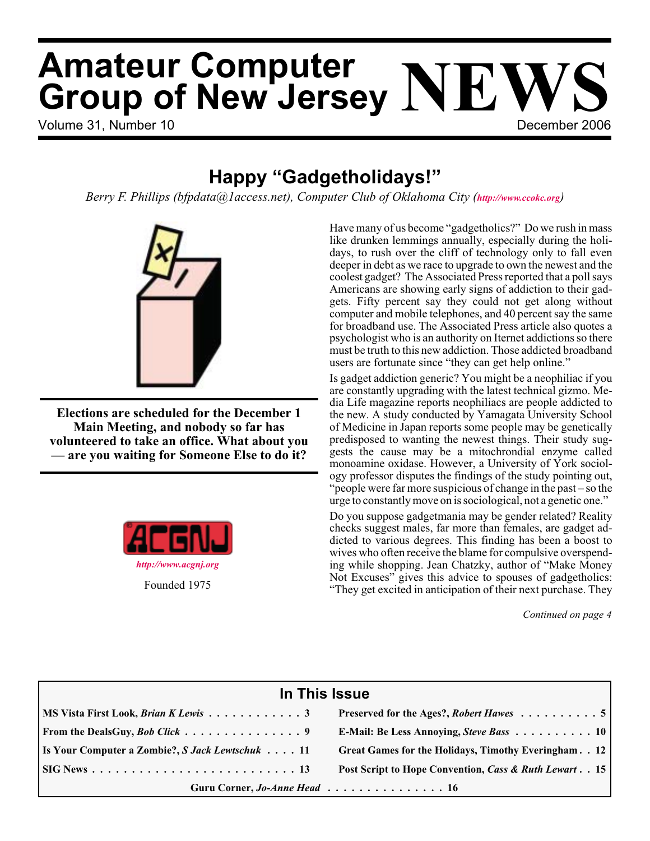# Volume 31, Number 10 **December 2006 Amateur Computer Group of New Jersey NEWS**

### **Happy "Gadgetholidays!"**

*Berry F. Phillips (bfpdata@1access.net), Computer Club of Oklahoma City (<http://www.ccokc.org>)*



**Elections are scheduled for the December 1 Main Meeting, and nobody so far has volunteered to take an office. What about you — are you waiting for Someone Else to do it?**



Have many of us become "gadgetholics?" Do we rush in mass like drunken lemmings annually, especially during the holidays, to rush over the cliff of technology only to fall even deeper in debt as we race to upgrade to own the newest and the coolest gadget? The Associated Press reported that a poll says Americans are showing early signs of addiction to their gadgets. Fifty percent say they could not get along without computer and mobile telephones, and 40 percent say the same for broadband use. The Associated Press article also quotes a psychologist who is an authority on Iternet addictions so there must be truth to this new addiction. Those addicted broadband users are fortunate since "they can get help online."

Is gadget addiction generic? You might be a neophiliac if you are constantly upgrading with the latest technical gizmo. Media Life magazine reports neophiliacs are people addicted to the new. A study conducted by Yamagata University School of Medicine in Japan reports some people may be genetically predisposed to wanting the newest things. Their study suggests the cause may be a mitochrondial enzyme called monoamine oxidase. However, a University of York sociology professor disputes the findings of the study pointing out, "people were far more suspicious of change in the past – so the urge to constantly move on is sociological, not a genetic one."

Do you suppose gadgetmania may be gender related? Reality checks suggest males, far more than females, are gadget addicted to various degrees. This finding has been a boost to wives who often receive the blame for compulsive overspending while shopping. Jean Chatzky, author of "Make Money Not Excuses" gives this advice to spouses of gadgetholics: "They get excited in anticipation of their next purchase. They

*Continued on page 4*

| In This Issue                                           |                                                          |  |  |  |
|---------------------------------------------------------|----------------------------------------------------------|--|--|--|
| MS Vista First Look, <i>Brian K Lewis</i> 3             | Preserved for the Ages?, Robert Hawes 5                  |  |  |  |
| From the DealsGuy, <i>Bob Click</i> 9                   | E-Mail: Be Less Annoying, Steve Bass 10                  |  |  |  |
| <b>Is Your Computer a Zombie?, S Jack Lewtschuk  11</b> | Great Games for the Holidays, Timothy Everingham. . 12   |  |  |  |
|                                                         | Post Script to Hope Convention, Cass & Ruth Lewart. . 15 |  |  |  |
| Guru Corner, Jo-Anne Head 16                            |                                                          |  |  |  |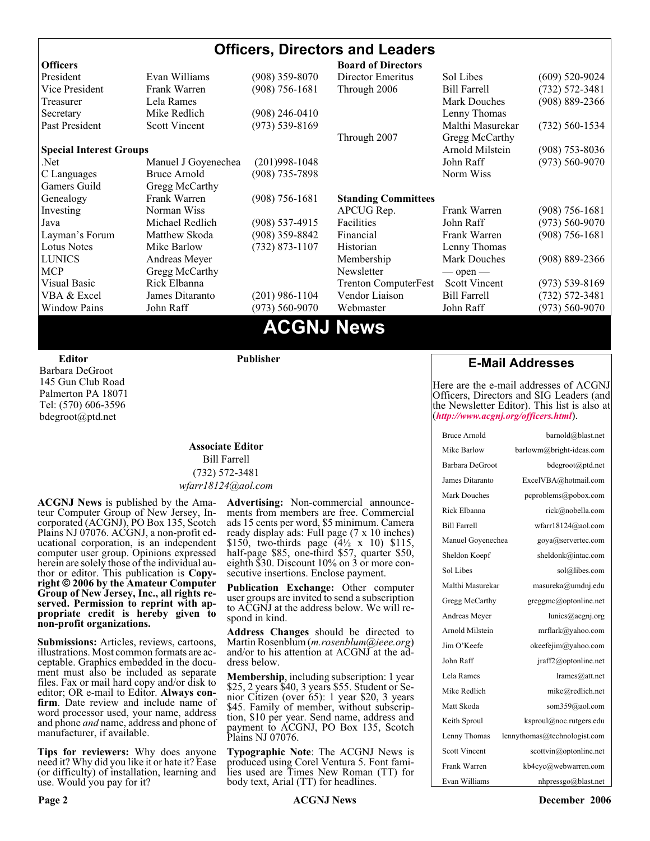#### **Officers, Directors and Leaders Officers Board of Directors**<br> **President** Evan Williams (908) 359-8070 Director Emeritus (908) 359-8070 Director Emeritus Sol Libes (609) 520-9024 Vice President Frank Warren (908) 756-1681 Through 2006 Bill Farrell (732) 572-3481 Treasurer Lela Rames Lela Annes (908) 889-2366 Secretary Mike Redlich (908) 246-0410 Lenny Thomas Past President Scott Vincent (973) 539-8169 Malthi Masurekar (732) 560-1534 Through 2007 Gregg McCarthy **Special Interest Groups Arnold Milstein** (908) 753-8036 Net 1973) Manuel J Goyenechea (201)998-1048<br>C Languages Bruce Arnold (908) 735-7898 100 Norm Wiss C Languages Bruce Arnold (908) 735-7898 Gamers Guild Gregg McCarthy Genealogy Frank Warren (908) 756-1681 **Standing Committees** Investing Norman Wiss APCUG Rep. Frank Warren (908) 756-1681<br>Java Michael Redlich (908) 537-4915 Facilities John Raff (973) 560-9070 Java Michael Redlich (908) 537-4915 Facilities John Raff (973) 560-9070 Layman's Forum Matthew Skoda (908) 359-8842 Financial Frank Warren (908) 756-1681 Lotus Notes Mike Barlow (732) 873-1107 Historian Lenny Thomas LUNICS Andreas Meyer Membership Mark Douches (908) 889-2366 MCP Gregg McCarthy Newsletter — open — Visual Basic Rick Elbanna Trenton ComputerFest Scott Vincent (973) 539-8169 VBA & Excel James Ditaranto (201) 986-1104 Vendor Liaison Bill Farrell (732) 572-3481 Window Pains John Raff (973) 560-9070 Webmaster John Raff (973) 560-9070

### **ACGNJ News**

**Editor**

Barbara DeGroot 145 Gun Club Road Palmerton PA 18071 Tel: (570) 606-3596 bdegroot@ptd.net

#### **Associate Editor** Bill Farrell (732) 572-3481 *wfarr18124@aol.com*

**Publisher**

**ACGNJ News** is published by the Ama- teur Computer Group of New Jersey, In- corporated (ACGNJ), PO Box 135, Scotch Plains NJ 07076. ACGNJ, a non-profit ed-<br>ucational corporation, is an independent computer user group. Opinions expressed<br>herein are solely those of the individual author or editor. This publication is **Copy-**<br>right © 2006 by the Amateur Computer<br>Group of New Jersey, Inc., all rights re-**Group of New Jersey, Inc., all rights re- served. Permission to reprint with ap- propriate credit is hereby given to non-profit organizations.**

**Submissions:** Articles, reviews, cartoons, illustrations. Most common formats are acceptable. Graphics embedded in the docu-<br>ment must also be included as separate files. Fax or mail hard copy and/or disk to editor: OR e-mail to Editor. **Always con**firm. Date review and include name of word processor used, your name, address and phone *and* name, address and phone of manufacturer, if available.

**Tips for reviewers:** Why does anyone need it? Why did you like it or hate it? Ease (or difficulty) of installation, learning and use. Would you pay for it?

**Advertising:** Non-commercial announce- ments from members are free. Commercial ads 15 cents per word, \$5 minimum. Camera ready display ads: Full page (7 x 10 inches) \$150, two-thirds page (4½ x 10) \$115, half-page \$85, one-third \$57, quarter \$50, eighth \$30. Discount 10% on 3 or more con- secutive insertions. Enclose payment.

**Publication Exchange:** Other computer user groups are invited to send a subscription to ACGNJ at the address below. We will re- spond in kind.

**Address Changes** should be directed to Martin Rosenblum (*m.rosenblum@ieee.org*) and/or to his attention at ACGNJ at the ad- dress below.

**Membership**, including subscription: 1 year \$25, 2 years \$40, 3 years \$55. Student or Senior Citizen (over 65): 1 year \$20, 3 years \$45. Family of member, without subscription, \$10 per year. Send name, address and payment to ACGNJ, PO Box 135, Scotch Plains NJ 07076.

**Typographic Note**: The ACGNJ News is produced using Corel Ventura 5. Font fami- lies used are Times New Roman (TT) for body text, Arial (TT) for headlines.

#### **E-Mail Addresses**

Here are the e-mail addresses of ACGNJ Officers, Directors and SIG Leaders (and the Newsletter Editor). This list is also at (*<http://www.acgnj.org/officers.html>*).

| <b>Bruce Arnold</b>  | barnold@blast.net            |
|----------------------|------------------------------|
| Mike Barlow          | barlowm@bright-ideas.com     |
| Barbara DeGroot      | bdegroot@ptd.net             |
| James Ditaranto      | ExcelVBA@hotmail.com         |
| <b>Mark Douches</b>  | pcproblems@pobox.com         |
| Rick Elbanna         | rick@nobella.com             |
| <b>Bill Farrell</b>  | wfarr18124@aol.com           |
| Manuel Goyenechea    | goya@servertec.com           |
| Sheldon Koepf        | sheldonk@intac.com           |
| Sol Libes            | sol@libes.com                |
| Malthi Masurekar     | masureka@umdnj.edu           |
| Gregg McCarthy       | greggmc@optonline.net        |
| Andreas Meyer        | lunics@acgnj.org             |
| Arnold Milstein      | mrflark@yahoo.com            |
| Jim O'Keefe          | okeefejim@yahoo.com          |
| John Raff            | jraff2@optonline.net         |
| Lela Rames           | lrames@att.net               |
| Mike Redlich         | mike@redlich.net             |
| Matt Skoda           | som359@aol.com               |
| Keith Sproul         | ksproul@noc.rutgers.edu      |
| Lenny Thomas         | lennythomas@technologist.com |
| <b>Scott Vincent</b> | scottvin@optonline.net       |
| Frank Warren         | kb4cyc@webwarren.com         |
| Evan Williams        | nhpressgo@blast.net          |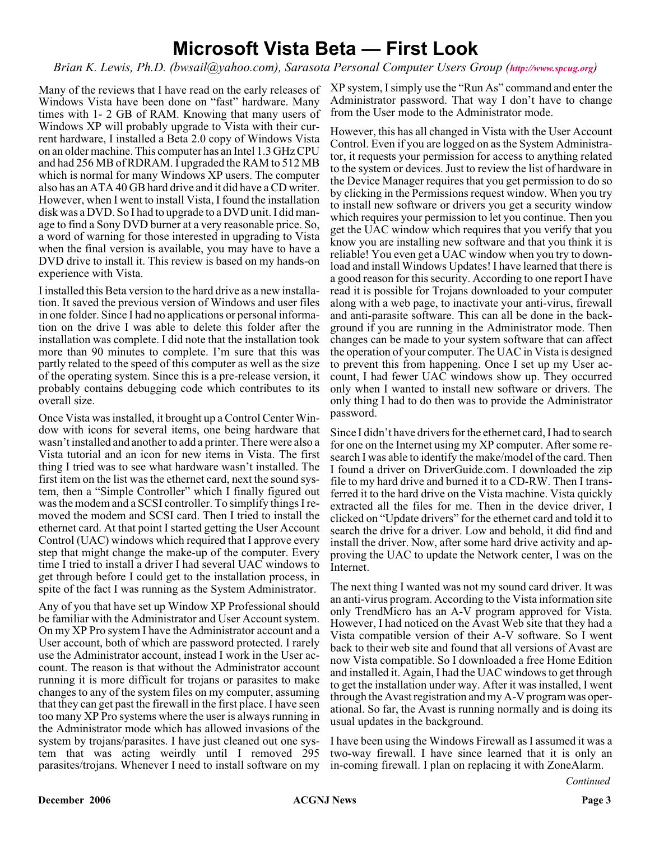### **Microsoft Vista Beta — First Look**

*Brian K. Lewis, Ph.D. (bwsail@yahoo.com), Sarasota Personal Computer Users Group (<http://www.spcug.org>)*

Many of the reviews that I have read on the early releases of Windows Vista have been done on "fast" hardware. Many times with 1- 2 GB of RAM. Knowing that many users of Windows XP will probably upgrade to Vista with their current hardware, I installed a Beta 2.0 copy of Windows Vista on an older machine. This computer has an Intel 1.3 GHz CPU and had 256 MB of RDRAM. I upgraded the RAM to 512 MB which is normal for many Windows XP users. The computer also has an ATA 40 GB hard drive and it did have a CD writer. However, when I went to install Vista, I found the installation disk was a DVD. So I had to upgrade to a DVD unit. I did manage to find a Sony DVD burner at a very reasonable price. So, a word of warning for those interested in upgrading to Vista when the final version is available, you may have to have a DVD drive to install it. This review is based on my hands-on experience with Vista.

I installed this Beta version to the hard drive as a new installation. It saved the previous version of Windows and user files in one folder. Since I had no applications or personal information on the drive I was able to delete this folder after the installation was complete. I did note that the installation took more than 90 minutes to complete. I'm sure that this was partly related to the speed of this computer as well as the size of the operating system. Since this is a pre-release version, it probably contains debugging code which contributes to its overall size.

Once Vista was installed, it brought up a Control Center Window with icons for several items, one being hardware that wasn't installed and another to add a printer. There were also a Vista tutorial and an icon for new items in Vista. The first thing I tried was to see what hardware wasn't installed. The first item on the list was the ethernet card, next the sound system, then a "Simple Controller" which I finally figured out was the modem and a SCSI controller. To simplify things I removed the modem and SCSI card. Then I tried to install the ethernet card. At that point I started getting the User Account Control (UAC) windows which required that I approve every step that might change the make-up of the computer. Every time I tried to install a driver I had several UAC windows to get through before I could get to the installation process, in spite of the fact I was running as the System Administrator.

Any of you that have set up Window XP Professional should be familiar with the Administrator and User Account system. On my XP Pro system I have the Administrator account and a User account, both of which are password protected. I rarely use the Administrator account, instead I work in the User account. The reason is that without the Administrator account running it is more difficult for trojans or parasites to make changes to any of the system files on my computer, assuming that they can get past the firewall in the first place. I have seen too many XP Pro systems where the user is always running in the Administrator mode which has allowed invasions of the system by trojans/parasites. I have just cleaned out one system that was acting weirdly until I removed 295 parasites/trojans. Whenever I need to install software on my

XP system, I simply use the "Run As" command and enter the Administrator password. That way I don't have to change from the User mode to the Administrator mode.

However, this has all changed in Vista with the User Account Control. Even if you are logged on as the System Administrator, it requests your permission for access to anything related to the system or devices. Just to review the list of hardware in the Device Manager requires that you get permission to do so by clicking in the Permissions request window. When you try to install new software or drivers you get a security window which requires your permission to let you continue. Then you get the UAC window which requires that you verify that you know you are installing new software and that you think it is reliable! You even get a UAC window when you try to download and install Windows Updates! I have learned that there is a good reason for this security. According to one report I have read it is possible for Trojans downloaded to your computer along with a web page, to inactivate your anti-virus, firewall and anti-parasite software. This can all be done in the background if you are running in the Administrator mode. Then changes can be made to your system software that can affect the operation of your computer. The UAC in Vista is designed to prevent this from happening. Once I set up my User account, I had fewer UAC windows show up. They occurred only when I wanted to install new software or drivers. The only thing I had to do then was to provide the Administrator password.

Since I didn't have drivers for the ethernet card, I had to search for one on the Internet using my XP computer. After some research I was able to identify the make/model of the card. Then I found a driver on DriverGuide.com. I downloaded the zip file to my hard drive and burned it to a CD-RW. Then I transferred it to the hard drive on the Vista machine. Vista quickly extracted all the files for me. Then in the device driver, I clicked on "Update drivers" for the ethernet card and told it to search the drive for a driver. Low and behold, it did find and install the driver. Now, after some hard drive activity and approving the UAC to update the Network center, I was on the Internet.

The next thing I wanted was not my sound card driver. It was an anti-virus program. According to the Vista information site only TrendMicro has an A-V program approved for Vista. However, I had noticed on the Avast Web site that they had a Vista compatible version of their A-V software. So I went back to their web site and found that all versions of Avast are now Vista compatible. So I downloaded a free Home Edition and installed it. Again, I had the UAC windows to get through to get the installation under way. After it was installed, I went through the Avast registration and my A-V program was operational. So far, the Avast is running normally and is doing its usual updates in the background.

I have been using the Windows Firewall as I assumed it was a two-way firewall. I have since learned that it is only an in-coming firewall. I plan on replacing it with ZoneAlarm.

*Continued*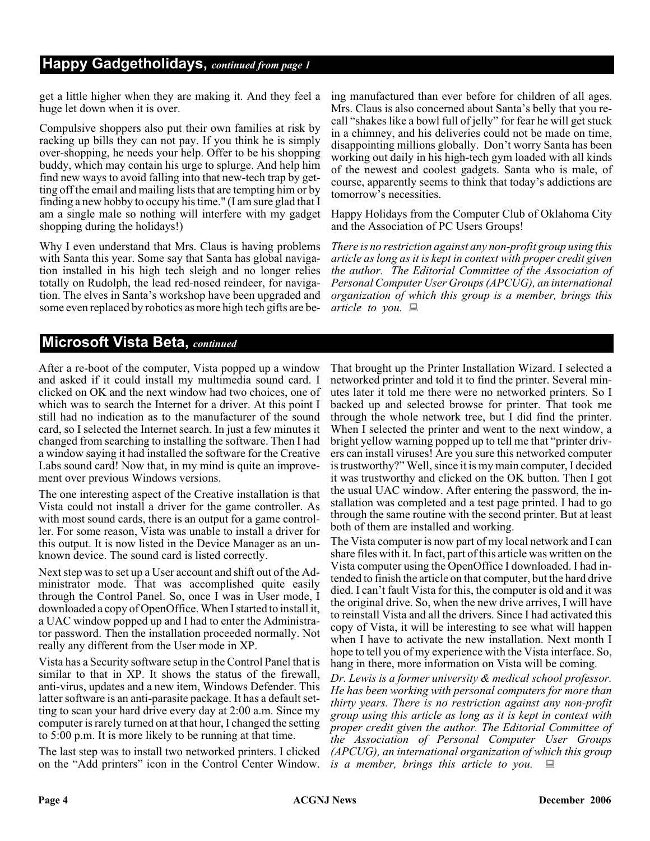#### **Happy Gadgetholidays,** *continued from page 1*

get a little higher when they are making it. And they feel a huge let down when it is over.

Compulsive shoppers also put their own families at risk by racking up bills they can not pay. If you think he is simply over-shopping, he needs your help. Offer to be his shopping buddy, which may contain his urge to splurge. And help him find new ways to avoid falling into that new-tech trap by getting off the email and mailing lists that are tempting him or by finding a new hobby to occupy his time." (I am sure glad that I am a single male so nothing will interfere with my gadget shopping during the holidays!)

Why I even understand that Mrs. Claus is having problems with Santa this year. Some say that Santa has global navigation installed in his high tech sleigh and no longer relies totally on Rudolph, the lead red-nosed reindeer, for navigation. The elves in Santa's workshop have been upgraded and some even replaced by robotics as more high tech gifts are being manufactured than ever before for children of all ages. Mrs. Claus is also concerned about Santa's belly that you recall "shakes like a bowl full of jelly" for fear he will get stuck in a chimney, and his deliveries could not be made on time, disappointing millions globally. Don't worry Santa has been working out daily in his high-tech gym loaded with all kinds of the newest and coolest gadgets. Santa who is male, of course, apparently seems to think that today's addictions are tomorrow's necessities.

Happy Holidays from the Computer Club of Oklahoma City and the Association of PC Users Groups!

*There is no restriction against any non-profit group using this article as long as it is kept in context with proper credit given the author. The Editorial Committee of the Association of Personal Computer User Groups (APCUG), an international organization of which this group is a member, brings this article to you.*

#### **Microsoft Vista Beta,** *continued*

After a re-boot of the computer, Vista popped up a window and asked if it could install my multimedia sound card. I clicked on OK and the next window had two choices, one of which was to search the Internet for a driver. At this point I still had no indication as to the manufacturer of the sound card, so I selected the Internet search. In just a few minutes it changed from searching to installing the software. Then I had a window saying it had installed the software for the Creative Labs sound card! Now that, in my mind is quite an improvement over previous Windows versions.

The one interesting aspect of the Creative installation is that Vista could not install a driver for the game controller. As with most sound cards, there is an output for a game controller. For some reason, Vista was unable to install a driver for this output. It is now listed in the Device Manager as an unknown device. The sound card is listed correctly.

Next step was to set up a User account and shift out of the Administrator mode. That was accomplished quite easily through the Control Panel. So, once I was in User mode, I downloaded a copy of OpenOffice. When I started to install it, a UAC window popped up and I had to enter the Administrator password. Then the installation proceeded normally. Not really any different from the User mode in XP.

Vista has a Security software setup in the Control Panel that is similar to that in XP. It shows the status of the firewall, anti-virus, updates and a new item, Windows Defender. This latter software is an anti-parasite package. It has a default setting to scan your hard drive every day at 2:00 a.m. Since my computer is rarely turned on at that hour, I changed the setting to 5:00 p.m. It is more likely to be running at that time.

The last step was to install two networked printers. I clicked on the "Add printers" icon in the Control Center Window. That brought up the Printer Installation Wizard. I selected a networked printer and told it to find the printer. Several minutes later it told me there were no networked printers. So I backed up and selected browse for printer. That took me through the whole network tree, but I did find the printer. When I selected the printer and went to the next window, a bright yellow warning popped up to tell me that "printer drivers can install viruses! Are you sure this networked computer is trustworthy?" Well, since it is my main computer, I decided it was trustworthy and clicked on the OK button. Then I got the usual UAC window. After entering the password, the installation was completed and a test page printed. I had to go through the same routine with the second printer. But at least both of them are installed and working.

The Vista computer is now part of my local network and I can share files with it. In fact, part of this article was written on the Vista computer using the OpenOffice I downloaded. I had intended to finish the article on that computer, but the hard drive died. I can't fault Vista for this, the computer is old and it was the original drive. So, when the new drive arrives, I will have to reinstall Vista and all the drivers. Since I had activated this copy of Vista, it will be interesting to see what will happen when I have to activate the new installation. Next month I hope to tell you of my experience with the Vista interface. So, hang in there, more information on Vista will be coming.

*Dr. Lewis is a former university & medical school professor. He has been working with personal computers for more than thirty years. There is no restriction against any non-profit group using this article as long as it is kept in context with proper credit given the author. The Editorial Committee of the Association of Personal Computer User Groups (APCUG), an international organization of which this group is a member, brings this article to you.*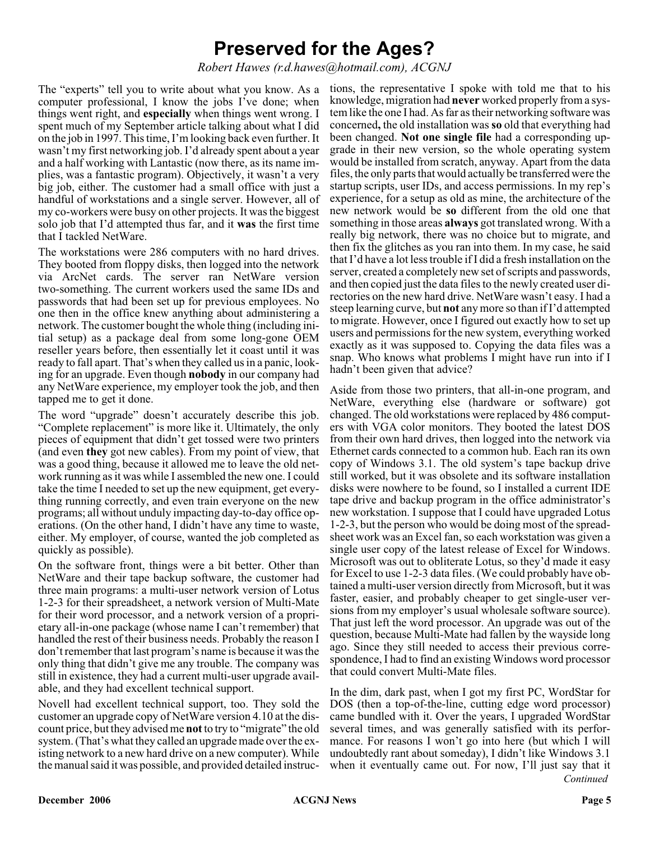### **Preserved for the Ages?**

*Robert Hawes (r.d.hawes@hotmail.com), ACGNJ*

The "experts" tell you to write about what you know. As a computer professional, I know the jobs I've done; when things went right, and **especially** when things went wrong. I spent much of my September article talking about what I did on the job in 1997. This time, I'm looking back even further. It wasn't my first networking job. I'd already spent about a year and a half working with Lantastic (now there, as its name implies, was a fantastic program). Objectively, it wasn't a very big job, either. The customer had a small office with just a handful of workstations and a single server. However, all of my co-workers were busy on other projects. It was the biggest solo job that I'd attempted thus far, and it **was** the first time that I tackled NetWare.

The workstations were 286 computers with no hard drives. They booted from floppy disks, then logged into the network via ArcNet cards. The server ran NetWare version two-something. The current workers used the same IDs and passwords that had been set up for previous employees. No one then in the office knew anything about administering a network. The customer bought the whole thing (including initial setup) as a package deal from some long-gone OEM reseller years before, then essentially let it coast until it was ready to fall apart. That's when they called us in a panic, looking for an upgrade. Even though **nobody** in our company had any NetWare experience, my employer took the job, and then tapped me to get it done.

The word "upgrade" doesn't accurately describe this job. "Complete replacement" is more like it. Ultimately, the only pieces of equipment that didn't get tossed were two printers (and even **they** got new cables). From my point of view, that was a good thing, because it allowed me to leave the old network running as it was while I assembled the new one. I could take the time I needed to set up the new equipment, get everything running correctly, and even train everyone on the new programs; all without unduly impacting day-to-day office operations. (On the other hand, I didn't have any time to waste, either. My employer, of course, wanted the job completed as quickly as possible).

On the software front, things were a bit better. Other than NetWare and their tape backup software, the customer had three main programs: a multi-user network version of Lotus 1-2-3 for their spreadsheet, a network version of Multi-Mate for their word processor, and a network version of a proprietary all-in-one package (whose name I can't remember) that handled the rest of their business needs. Probably the reason I don't remember that last program's name is because it was the only thing that didn't give me any trouble. The company was still in existence, they had a current multi-user upgrade available, and they had excellent technical support.

Novell had excellent technical support, too. They sold the customer an upgrade copy of NetWare version 4.10 at the discount price, but they advised me **not**to try to "migrate" the old system. (That's what they called an upgrade made over the existing network to a new hard drive on a new computer). While the manual said it was possible, and provided detailed instruc-

tions, the representative I spoke with told me that to his knowledge, migration had **never** worked properly from a system like the one I had. As far as their networking software was concerned**,** the old installation was **so** old that everything had been changed. **Not one single file** had a corresponding upgrade in their new version, so the whole operating system would be installed from scratch, anyway. Apart from the data files, the only parts that would actually be transferred were the startup scripts, user IDs, and access permissions. In my rep's experience, for a setup as old as mine, the architecture of the new network would be **so** different from the old one that something in those areas **always** got translated wrong. With a really big network, there was no choice but to migrate, and then fix the glitches as you ran into them. In my case, he said that I'd have a lot less trouble if I did a fresh installation on the server, created a completely new set of scripts and passwords, and then copied just the data files to the newly created user directories on the new hard drive. NetWare wasn't easy. I had a steep learning curve, but **not** any more so than if I'd attempted to migrate. However, once I figured out exactly how to set up users and permissions for the new system, everything worked exactly as it was supposed to. Copying the data files was a snap. Who knows what problems I might have run into if I hadn't been given that advice?

Aside from those two printers, that all-in-one program, and NetWare, everything else (hardware or software) got changed. The old workstations were replaced by 486 computers with VGA color monitors. They booted the latest DOS from their own hard drives, then logged into the network via Ethernet cards connected to a common hub. Each ran its own copy of Windows 3.1. The old system's tape backup drive still worked, but it was obsolete and its software installation disks were nowhere to be found, so I installed a current IDE tape drive and backup program in the office administrator's new workstation. I suppose that I could have upgraded Lotus 1-2-3, but the person who would be doing most of the spreadsheet work was an Excel fan, so each workstation was given a single user copy of the latest release of Excel for Windows. Microsoft was out to obliterate Lotus, so they'd made it easy for Excel to use 1-2-3 data files. (We could probably have obtained a multi-user version directly from Microsoft, but it was faster, easier, and probably cheaper to get single-user versions from my employer's usual wholesale software source). That just left the word processor. An upgrade was out of the question, because Multi-Mate had fallen by the wayside long ago. Since they still needed to access their previous correspondence, I had to find an existing Windows word processor that could convert Multi-Mate files.

*Continued* In the dim, dark past, when I got my first PC, WordStar for DOS (then a top-of-the-line, cutting edge word processor) came bundled with it. Over the years, I upgraded WordStar several times, and was generally satisfied with its performance. For reasons I won't go into here (but which I will undoubtedly rant about someday), I didn't like Windows 3.1 when it eventually came out. For now, I'll just say that it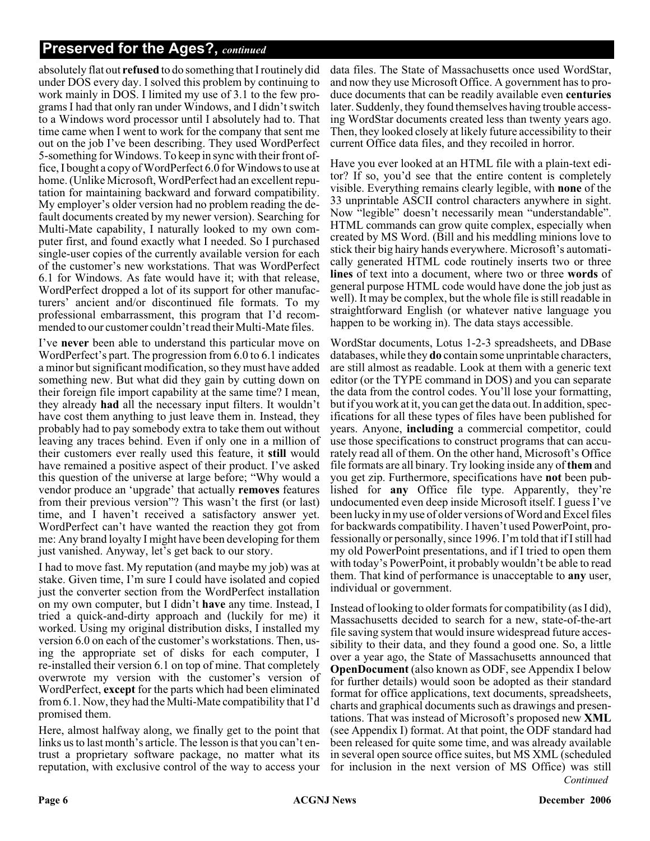#### **Preserved for the Ages?,** *continued*

absolutely flat out **refused** to do something that I routinely did under DOS every day. I solved this problem by continuing to work mainly in DOS. I limited my use of 3.1 to the few programs I had that only ran under Windows, and I didn't switch to a Windows word processor until I absolutely had to. That time came when I went to work for the company that sent me out on the job I've been describing. They used WordPerfect 5-something for Windows. To keep in sync with their front office, I bought a copy of WordPerfect 6.0 for Windows to use at home. (Unlike Microsoft, WordPerfect had an excellent reputation for maintaining backward and forward compatibility. My employer's older version had no problem reading the default documents created by my newer version). Searching for Multi-Mate capability, I naturally looked to my own computer first, and found exactly what I needed. So I purchased single-user copies of the currently available version for each of the customer's new workstations. That was WordPerfect 6.1 for Windows. As fate would have it; with that release, WordPerfect dropped a lot of its support for other manufacturers' ancient and/or discontinued file formats. To my professional embarrassment, this program that I'd recommended to our customer couldn't read their Multi-Mate files.

I've **never** been able to understand this particular move on WordPerfect's part. The progression from 6.0 to 6.1 indicates a minor but significant modification, so they must have added something new. But what did they gain by cutting down on their foreign file import capability at the same time? I mean, they already **had** all the necessary input filters. It wouldn't have cost them anything to just leave them in. Instead, they probably had to pay somebody extra to take them out without leaving any traces behind. Even if only one in a million of their customers ever really used this feature, it **still** would have remained a positive aspect of their product. I've asked this question of the universe at large before; "Why would a vendor produce an 'upgrade' that actually **removes** features from their previous version"? This wasn't the first (or last) time, and I haven't received a satisfactory answer yet. WordPerfect can't have wanted the reaction they got from me: Any brand loyalty I might have been developing for them just vanished. Anyway, let's get back to our story.

I had to move fast. My reputation (and maybe my job) was at stake. Given time, I'm sure I could have isolated and copied just the converter section from the WordPerfect installation on my own computer, but I didn't **have** any time. Instead, I tried a quick-and-dirty approach and (luckily for me) it worked. Using my original distribution disks, I installed my version 6.0 on each of the customer's workstations. Then, using the appropriate set of disks for each computer, I re-installed their version 6.1 on top of mine. That completely overwrote my version with the customer's version of WordPerfect, **except** for the parts which had been eliminated from 6.1. Now, they had the Multi-Mate compatibility that I'd promised them.

Here, almost halfway along, we finally get to the point that links us to last month's article. The lesson is that you can't entrust a proprietary software package, no matter what its reputation, with exclusive control of the way to access your

data files. The State of Massachusetts once used WordStar, and now they use Microsoft Office. A government has to produce documents that can be readily available even **centuries** later. Suddenly, they found themselves having trouble accessing WordStar documents created less than twenty years ago. Then, they looked closely at likely future accessibility to their current Office data files, and they recoiled in horror.

Have you ever looked at an HTML file with a plain-text editor? If so, you'd see that the entire content is completely visible. Everything remains clearly legible, with **none** of the 33 unprintable ASCII control characters anywhere in sight. Now "legible" doesn't necessarily mean "understandable". HTML commands can grow quite complex, especially when created by MS Word. (Bill and his meddling minions love to stick their big hairy hands everywhere. Microsoft's automatically generated HTML code routinely inserts two or three **lines** of text into a document, where two or three **words** of general purpose HTML code would have done the job just as well). It may be complex, but the whole file is still readable in straightforward English (or whatever native language you happen to be working in). The data stays accessible.

WordStar documents, Lotus 1-2-3 spreadsheets, and DBase databases, while they **do** contain some unprintable characters, are still almost as readable. Look at them with a generic text editor (or the TYPE command in DOS) and you can separate the data from the control codes. You'll lose your formatting, but if you work at it, you can get the data out. In addition, specifications for all these types of files have been published for years. Anyone, **including** a commercial competitor, could use those specifications to construct programs that can accurately read all of them. On the other hand, Microsoft's Office file formats are all binary. Try looking inside any of **them** and you get zip. Furthermore, specifications have **not** been published for **any** Office file type. Apparently, they're undocumented even deep inside Microsoft itself. I guess I've been lucky in my use of older versions of Word and Excel files for backwards compatibility. I haven't used PowerPoint, professionally or personally, since 1996. I'm told that if I still had my old PowerPoint presentations, and if I tried to open them with today's PowerPoint, it probably wouldn't be able to read them. That kind of performance is unacceptable to **any** user, individual or government.

*Continued* Instead of looking to older formats for compatibility (as I did), Massachusetts decided to search for a new, state-of-the-art file saving system that would insure widespread future accessibility to their data, and they found a good one. So, a little over a year ago, the State of Massachusetts announced that **OpenDocument** (also known as ODF, see Appendix I below for further details) would soon be adopted as their standard format for office applications, text documents, spreadsheets, charts and graphical documents such as drawings and presentations. That was instead of Microsoft's proposed new **XML** (see Appendix I) format. At that point, the ODF standard had been released for quite some time, and was already available in several open source office suites, but MS XML (scheduled for inclusion in the next version of MS Office) was still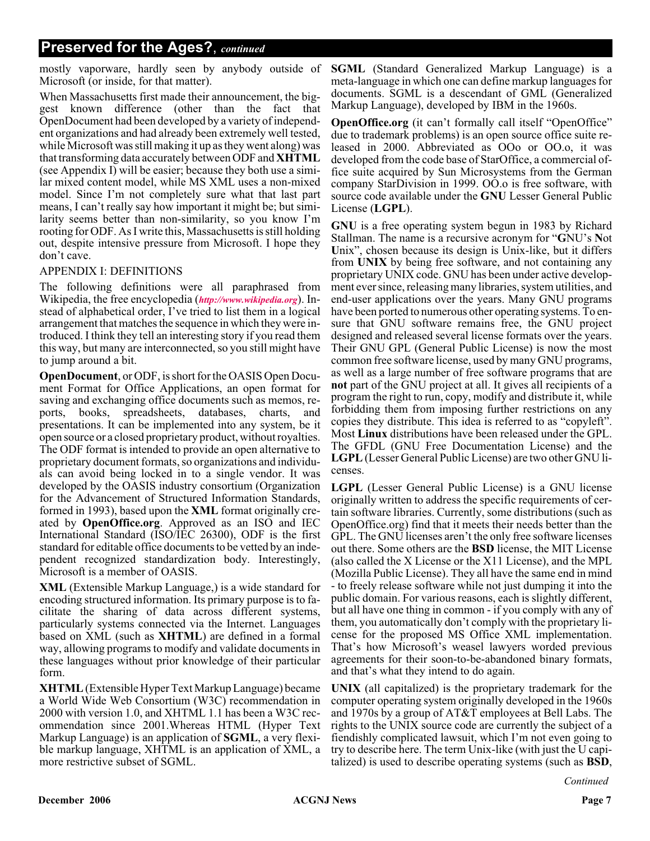#### **Preserved for the Ages?**, *continued*

mostly vaporware, hardly seen by anybody outside of Microsoft (or inside, for that matter).

When Massachusetts first made their announcement, the biggest known difference (other than the fact that OpenDocument had been developed by a variety of independent organizations and had already been extremely well tested, while Microsoft was still making it up as they went along) was that transforming data accurately between ODF and **XHTML** (see Appendix I) will be easier; because they both use a similar mixed content model, while MS XML uses a non-mixed model. Since I'm not completely sure what that last part means, I can't really say how important it might be; but similarity seems better than non-similarity, so you know I'm rooting for ODF. As I write this, Massachusetts is still holding out, despite intensive pressure from Microsoft. I hope they don't cave.

#### APPENDIX I: DEFINITIONS

The following definitions were all paraphrased from Wikipedia, the free encyclopedia (*<http://www.wikipedia.org>*). Instead of alphabetical order, I've tried to list them in a logical arrangement that matches the sequence in which they were introduced. I think they tell an interesting story if you read them this way, but many are interconnected, so you still might have to jump around a bit.

**OpenDocument**, or ODF, is short for the OASIS Open Document Format for Office Applications, an open format for saving and exchanging office documents such as memos, reports, books, spreadsheets, databases, charts, and presentations. It can be implemented into any system, be it open source or a closed proprietary product, without royalties. The ODF format is intended to provide an open alternative to proprietary document formats, so organizations and individuals can avoid being locked in to a single vendor. It was developed by the OASIS industry consortium (Organization for the Advancement of Structured Information Standards, formed in 1993), based upon the **XML** format originally created by **OpenOffice.org**. Approved as an ISO and IEC International Standard (ISO/IEC 26300), ODF is the first standard for editable office documents to be vetted by an independent recognized standardization body. Interestingly, Microsoft is a member of OASIS.

**XML** (Extensible Markup Language,) is a wide standard for encoding structured information. Its primary purpose is to facilitate the sharing of data across different systems, particularly systems connected via the Internet. Languages based on XML (such as **XHTML**) are defined in a formal way, allowing programs to modify and validate documents in these languages without prior knowledge of their particular form.

**XHTML**(Extensible Hyper Text Markup Language) became a World Wide Web Consortium (W3C) recommendation in 2000 with version 1.0, and XHTML 1.1 has been a W3C recommendation since 2001.Whereas HTML (Hyper Text Markup Language) is an application of **SGML**, a very flexible markup language, XHTML is an application of XML, a more restrictive subset of SGML.

**SGML** (Standard Generalized Markup Language) is a meta-language in which one can define markup languages for documents. SGML is a descendant of GML (Generalized Markup Language), developed by IBM in the 1960s.

**OpenOffice.org** (it can't formally call itself "OpenOffice" due to trademark problems) is an open source office suite released in 2000. Abbreviated as OOo or OO.o, it was developed from the code base of StarOffice, a commercial office suite acquired by Sun Microsystems from the German company StarDivision in 1999. OO.o is free software, with source code available under the **GNU** Lesser General Public License (**LGPL**).

**GNU** is a free operating system begun in 1983 by Richard Stallman. The name is a recursive acronym for "**G**NU's **N**ot **U**nix", chosen because its design is Unix-like, but it differs from **UNIX** by being free software, and not containing any proprietary UNIX code. GNU has been under active development ever since, releasing many libraries, system utilities, and end-user applications over the years. Many GNU programs have been ported to numerous other operating systems. To ensure that GNU software remains free, the GNU project designed and released several license formats over the years. Their GNU GPL (General Public License) is now the most common free software license, used by many GNU programs, as well as a large number of free software programs that are **not** part of the GNU project at all. It gives all recipients of a program the right to run, copy, modify and distribute it, while forbidding them from imposing further restrictions on any copies they distribute. This idea is referred to as "copyleft". Most **Linux** distributions have been released under the GPL. The GFDL (GNU Free Documentation License) and the **LGPL**(Lesser General Public License) are two other GNU licenses.

**LGPL** (Lesser General Public License) is a GNU license originally written to address the specific requirements of certain software libraries. Currently, some distributions (such as OpenOffice.org) find that it meets their needs better than the GPL. The GNU licenses aren't the only free software licenses out there. Some others are the **BSD** license, the MIT License (also called the X License or the X11 License), and the MPL (Mozilla Public License). They all have the same end in mind - to freely release software while not just dumping it into the public domain. For various reasons, each is slightly different, but all have one thing in common - if you comply with any of them, you automatically don't comply with the proprietary license for the proposed MS Office XML implementation. That's how Microsoft's weasel lawyers worded previous agreements for their soon-to-be-abandoned binary formats, and that's what they intend to do again.

**UNIX** (all capitalized) is the proprietary trademark for the computer operating system originally developed in the 1960s and 1970s by a group of AT&T employees at Bell Labs. The rights to the UNIX source code are currently the subject of a fiendishly complicated lawsuit, which I'm not even going to try to describe here. The term Unix-like (with just the U capitalized) is used to describe operating systems (such as **BSD**,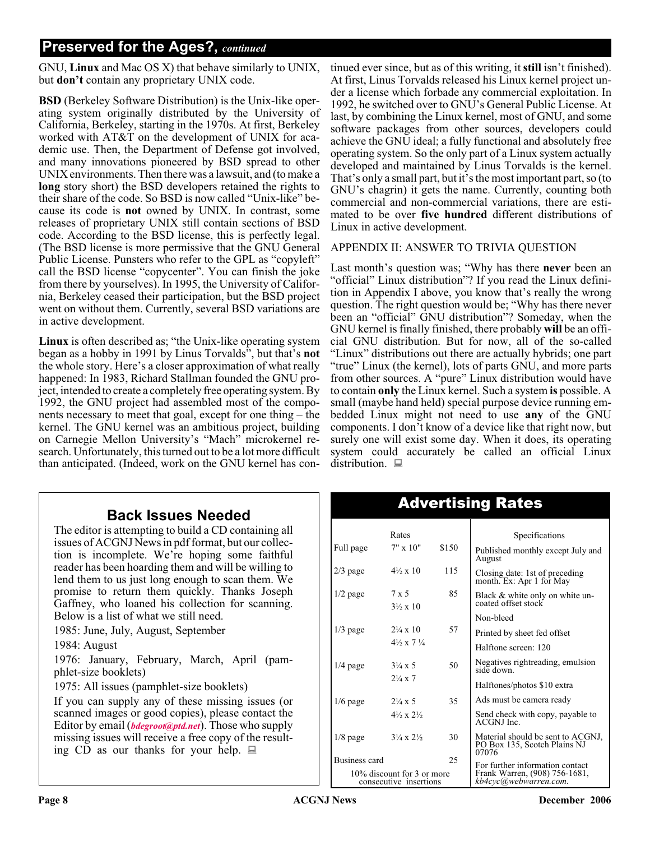#### **Preserved for the Ages?,** *continued*

GNU, **Linux** and Mac OS X) that behave similarly to UNIX, but **don't** contain any proprietary UNIX code.

**BSD** (Berkeley Software Distribution) is the Unix-like operating system originally distributed by the University of California, Berkeley, starting in the 1970s. At first, Berkeley worked with AT&T on the development of UNIX for academic use. Then, the Department of Defense got involved, and many innovations pioneered by BSD spread to other UNIX environments. Then there was a lawsuit, and (to make a **long** story short) the BSD developers retained the rights to their share of the code. So BSD is now called "Unix-like" because its code is **not** owned by UNIX. In contrast, some releases of proprietary UNIX still contain sections of BSD code. According to the BSD license, this is perfectly legal. (The BSD license is more permissive that the GNU General Public License. Punsters who refer to the GPL as "copyleft" call the BSD license "copycenter". You can finish the joke from there by yourselves). In 1995, the University of California, Berkeley ceased their participation, but the BSD project went on without them. Currently, several BSD variations are in active development.

**Linux** is often described as; "the Unix-like operating system began as a hobby in 1991 by Linus Torvalds", but that's **not** the whole story. Here's a closer approximation of what really happened: In 1983, Richard Stallman founded the GNU project, intended to create a completely free operating system. By 1992, the GNU project had assembled most of the components necessary to meet that goal, except for one thing – the kernel. The GNU kernel was an ambitious project, building on Carnegie Mellon University's "Mach" microkernel research. Unfortunately, this turned out to be a lot more difficult than anticipated. (Indeed, work on the GNU kernel has con-

**Back Issues Needed**

The editor is attempting to build a CD containing all issues of ACGNJ News in pdf format, but our collection is incomplete. We're hoping some faithful reader has been hoarding them and will be willing to lend them to us just long enough to scan them. We promise to return them quickly. Thanks Joseph Gaffney, who loaned his collection for scanning. Below is a list of what we still need.

1985: June, July, August, September

1984: August

1976: January, February, March, April (pamphlet-size booklets)

1975: All issues (pamphlet-size booklets)

If you can supply any of these missing issues (or scanned images or good copies), please contact the Editor by email (*[bdegroot@ptd.net](mailto:bdegroot@ptd.net)*). Those who supply missing issues will receive a free copy of the resulting CD as our thanks for your help.  $\Box$ 

tinued ever since, but as of this writing, it **still** isn't finished). At first, Linus Torvalds released his Linux kernel project under a license which forbade any commercial exploitation. In 1992, he switched over to GNU's General Public License. At last, by combining the Linux kernel, most of GNU, and some software packages from other sources, developers could achieve the GNU ideal; a fully functional and absolutely free operating system. So the only part of a Linux system actually developed and maintained by Linus Torvalds is the kernel. That's only a small part, but it's the most important part, so (to GNU's chagrin) it gets the name. Currently, counting both commercial and non-commercial variations, there are estimated to be over **five hundred** different distributions of Linux in active development.

#### APPENDIX II: ANSWER TO TRIVIA QUESTION

Last month's question was; "Why has there **never** been an "official" Linux distribution"? If you read the Linux definition in Appendix I above, you know that's really the wrong question. The right question would be; "Why has there never been an "official" GNU distribution"? Someday, when the GNU kernel is finally finished, there probably **will** be an official GNU distribution. But for now, all of the so-called "Linux" distributions out there are actually hybrids; one part "true" Linux (the kernel), lots of parts GNU, and more parts from other sources. A "pure" Linux distribution would have to contain **only** the Linux kernel. Such a system **is** possible. A small (maybe hand held) special purpose device running embedded Linux might not need to use **any** of the GNU components. I don't know of a device like that right now, but surely one will exist some day. When it does, its operating system could accurately be called an official Linux distribution.  $\blacksquare$ 

|                                                      | Rates                                    |       | Specifications                                                                            |  |
|------------------------------------------------------|------------------------------------------|-------|-------------------------------------------------------------------------------------------|--|
| Full page                                            | $7" \times 10"$                          | \$150 | Published monthly except July and<br>August                                               |  |
| $2/3$ page                                           | $4\frac{1}{2} \times 10$                 | 115   | Closing date: 1st of preceding<br>month. Ex: Apr 1 for May                                |  |
| $1/2$ page                                           | $7 \times 5$<br>$3\frac{1}{2} \times 10$ | 85    | Black & white only on white un-<br>coated offset stock                                    |  |
|                                                      |                                          |       | Non-bleed                                                                                 |  |
| $1/3$ page                                           | $2\frac{1}{4} \times 10$                 | 57    | Printed by sheet fed offset                                                               |  |
|                                                      | $4\frac{1}{2} \times 7\frac{1}{4}$       |       | Halftone screen: 120                                                                      |  |
| $1/4$ page                                           | $3\frac{1}{4} \times 5$                  | 50    | Negatives rightreading, emulsion<br>side down.                                            |  |
|                                                      | $2\frac{1}{4} \times 7$                  |       | Halftones/photos \$10 extra                                                               |  |
| $1/6$ page                                           | $2\frac{1}{4} \times 5$                  | 35    | Ads must be camera ready                                                                  |  |
|                                                      | $4\frac{1}{2} \times 2\frac{1}{2}$       |       | Send check with copy, payable to<br>ACGNJ Inc.                                            |  |
| $1/8$ page                                           | $3\frac{1}{4} \times 2\frac{1}{2}$       | 30    | Material should be sent to ACGNJ,<br>PO Box 135, Scotch Plains NJ<br>07076                |  |
| Business card                                        |                                          | 25    |                                                                                           |  |
| 10% discount for 3 or more<br>consecutive insertions |                                          |       | For further information contact<br>Frank Warren, (908) 756-1681,<br>kb4cyc@webwàrreń.com. |  |
|                                                      |                                          |       |                                                                                           |  |

### Advertising Rates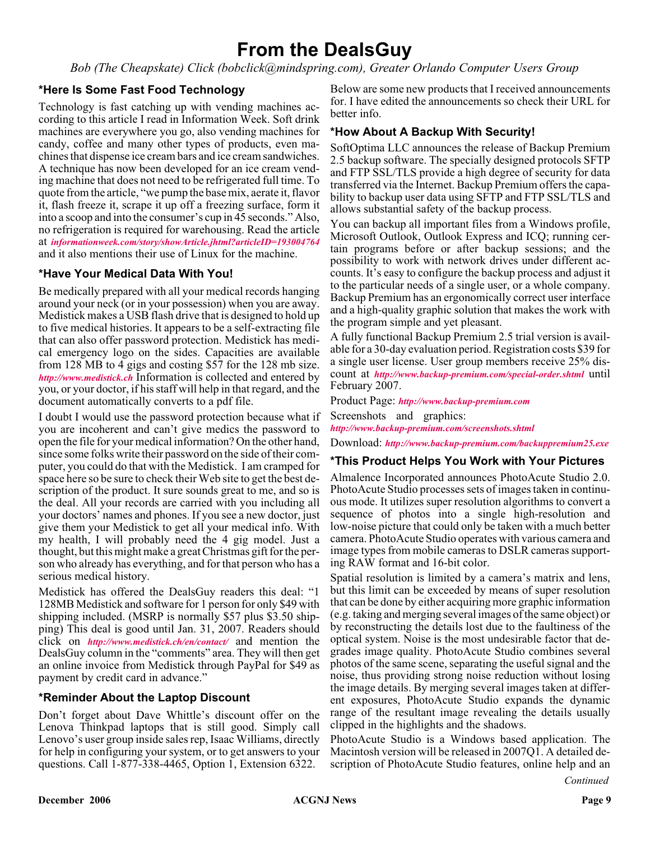### **From the DealsGuy**

*Bob (The Cheapskate) Click (bobclick@mindspring.com), Greater Orlando Computer Users Group*

#### **\*Here Is Some Fast Food Technology**

Technology is fast catching up with vending machines according to this article I read in Information Week. Soft drink machines are everywhere you go, also vending machines for candy, coffee and many other types of products, even machines that dispense ice cream bars and ice cream sandwiches. A technique has now been developed for an ice cream vending machine that does not need to be refrigerated full time. To quote from the article, "we pump the base mix, aerate it, flavor it, flash freeze it, scrape it up off a freezing surface, form it into a scoop and into the consumer's cup in 45 seconds." Also, no refrigeration is required for warehousing. Read the article at *[informationweek.com/story/showArticle.jhtml?articleID=193004764](http://www.informationweek.com/story/showArticle.jhtml?articleID=193004764)* and it also mentions their use of Linux for the machine.

#### **\*Have Your Medical Data With You!**

Be medically prepared with all your medical records hanging around your neck (or in your possession) when you are away. Medistick makes a USB flash drive that is designed to hold up to five medical histories. It appears to be a self-extracting file that can also offer password protection. Medistick has medical emergency logo on the sides. Capacities are available from 128 MB to 4 gigs and costing \$57 for the 128 mb size. *<http://www.medistick.ch>* Information is collected and entered by you, or your doctor, if his staff will help in that regard, and the document automatically converts to a pdf file.

I doubt I would use the password protection because what if you are incoherent and can't give medics the password to open the file for your medical information? On the other hand, since some folks write their password on the side of their computer, you could do that with the Medistick. I am cramped for space here so be sure to check their Web site to get the best description of the product. It sure sounds great to me, and so is the deal. All your records are carried with you including all your doctors' names and phones. If you see a new doctor, just give them your Medistick to get all your medical info. With my health, I will probably need the 4 gig model. Just a thought, but this might make a great Christmas gift for the person who already has everything, and for that person who has a serious medical history.

Medistick has offered the DealsGuy readers this deal: "1 128MB Medistick and software for 1 person for only \$49 with shipping included. (MSRP is normally \$57 plus \$3.50 shipping) This deal is good until Jan. 31, 2007. Readers should click on *<http://www.medistick.ch/en/contact/>* and mention the DealsGuy column in the "comments" area. They will then get an online invoice from Medistick through PayPal for \$49 as payment by credit card in advance."

#### **\*Reminder About the Laptop Discount**

Don't forget about Dave Whittle's discount offer on the Lenova Thinkpad laptops that is still good. Simply call Lenovo's user group inside sales rep, Isaac Williams, directly for help in configuring your system, or to get answers to your questions. Call 1-877-338-4465, Option 1, Extension 6322.

Below are some new products that I received announcements for. I have edited the announcements so check their URL for better info.

#### **\*How About A Backup With Security!**

SoftOptima LLC announces the release of Backup Premium 2.5 backup software. The specially designed protocols SFTP and FTP SSL/TLS provide a high degree of security for data transferred via the Internet. Backup Premium offers the capability to backup user data using SFTP and FTP SSL/TLS and allows substantial safety of the backup process.

You can backup all important files from a Windows profile, Microsoft Outlook, Outlook Express and ICQ; running certain programs before or after backup sessions; and the possibility to work with network drives under different accounts. It's easy to configure the backup process and adjust it to the particular needs of a single user, or a whole company. Backup Premium has an ergonomically correct user interface and a high-quality graphic solution that makes the work with the program simple and yet pleasant.

A fully functional Backup Premium 2.5 trial version is available for a 30-day evaluation period. Registration costs \$39 for a single user license. User group members receive 25% discount at *<http://www.backup-premium.com/special-order.shtml>* until February 2007.

Product Page: *<http://www.backup-premium.com>*

Screenshots and graphics: *<http://www.backup-premium.com/screenshots.shtml>*

Download: *<http://www.backup-premium.com/backuppremium25.exe>*

#### **\*This Product Helps You Work with Your Pictures**

Almalence Incorporated announces PhotoAcute Studio 2.0. PhotoAcute Studio processes sets of images taken in continuous mode. It utilizes super resolution algorithms to convert a sequence of photos into a single high-resolution and low-noise picture that could only be taken with a much better camera. PhotoAcute Studio operates with various camera and image types from mobile cameras to DSLR cameras supporting RAW format and 16-bit color.

Spatial resolution is limited by a camera's matrix and lens, but this limit can be exceeded by means of super resolution that can be done by either acquiring more graphic information (e.g. taking and merging several images of the same object) or by reconstructing the details lost due to the faultiness of the optical system. Noise is the most undesirable factor that degrades image quality. PhotoAcute Studio combines several photos of the same scene, separating the useful signal and the noise, thus providing strong noise reduction without losing the image details. By merging several images taken at different exposures, PhotoAcute Studio expands the dynamic range of the resultant image revealing the details usually clipped in the highlights and the shadows.

PhotoAcute Studio is a Windows based application. The Macintosh version will be released in 2007Q1. A detailed description of PhotoAcute Studio features, online help and an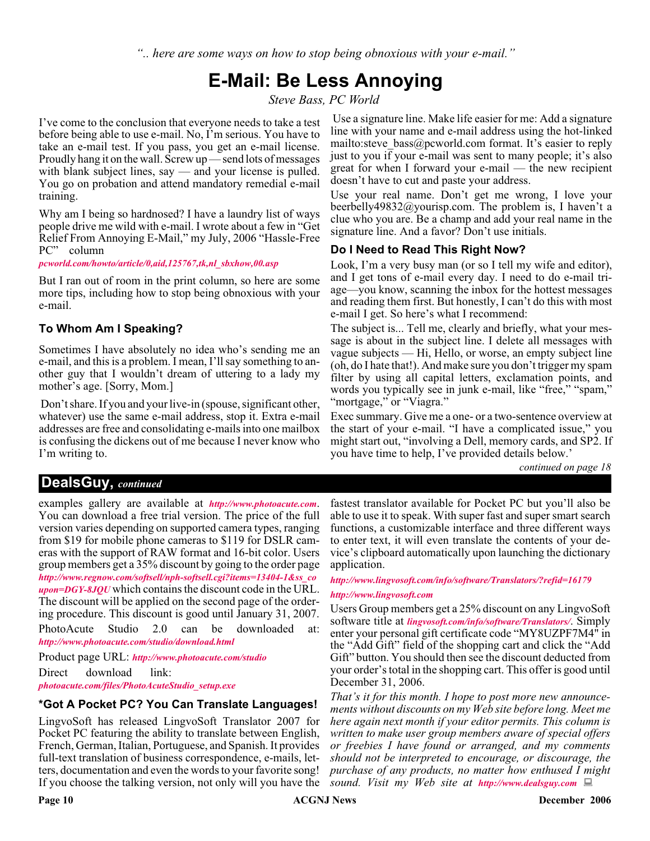*".. here are some ways on how to stop being obnoxious with your e-mail."*

### **E-Mail: Be Less Annoying**

*Steve Bass, PC World*

I've come to the conclusion that everyone needs to take a test before being able to use e-mail. No, I'm serious. You have to take an e-mail test. If you pass, you get an e-mail license. Proudly hang it on the wall. Screw up — send lots of messages with blank subject lines, say — and your license is pulled. You go on probation and attend mandatory remedial e-mail training.

Why am I being so hardnosed? I have a laundry list of ways people drive me wild with e-mail. I wrote about a few in "Get Relief From Annoying E-Mail," my July, 2006 "Hassle-Free PC" column

*[pcworld.com/howto/article/0,aid,125767,tk,nl\\_sbxhow,00.asp](http://www.pcworld.com/howto/article/0,aid,125767,tk,nl_sbxhow,00.asp)*

But I ran out of room in the print column, so here are some more tips, including how to stop being obnoxious with your e-mail.

#### **To Whom Am I Speaking?**

Sometimes I have absolutely no idea who's sending me an e-mail, and this is a problem. I mean, I'll say something to another guy that I wouldn't dream of uttering to a lady my mother's age. [Sorry, Mom.]

Don't share. If you and your live-in (spouse, significant other, whatever) use the same e-mail address, stop it. Extra e-mail addresses are free and consolidating e-mails into one mailbox is confusing the dickens out of me because I never know who I'm writing to.

Use a signature line. Make life easier for me: Add a signature line with your name and e-mail address using the hot-linked mailto: steve bass  $@p$  cworld.com format. It's easier to reply just to you if your e-mail was sent to many people; it's also great for when I forward your e-mail — the new recipient doesn't have to cut and paste your address.

Use your real name. Don't get me wrong, I love your beerbelly49832@yourisp.com. The problem is, I haven't a clue who you are. Be a champ and add your real name in the signature line. And a favor? Don't use initials.

#### **Do I Need to Read This Right Now?**

Look, I'm a very busy man (or so I tell my wife and editor), and I get tons of e-mail every day. I need to do e-mail triage—you know, scanning the inbox for the hottest messages and reading them first. But honestly, I can't do this with most e-mail I get. So here's what I recommend:

The subject is... Tell me, clearly and briefly, what your message is about in the subject line. I delete all messages with vague subjects — Hi, Hello, or worse, an empty subject line (oh, do I hate that!). And make sure you don't trigger my spam filter by using all capital letters, exclamation points, and words you typically see in junk e-mail, like "free," "spam," "mortgage," or "Viagra."

Exec summary. Give me a one- or a two-sentence overview at the start of your e-mail. "I have a complicated issue," you might start out, "involving a Dell, memory cards, and SP2. If you have time to help, I've provided details below.'

*continued on page 18*

#### **DealsGuy,** *continued*

examples gallery are available at *<http://www.photoacute.com>*. You can download a free trial version. The price of the full version varies depending on supported camera types, ranging from \$19 for mobile phone cameras to \$119 for DSLR cameras with the support of RAW format and 16-bit color. Users group members get a 35% discount by going to the order page *[http://www.regnow.com/softsell/nph-softsell.cgi?items=13404-1&ss\\_co](http://www.regnow.com/softsell/nph-softsell.cgi?items=13404-1&ss_coupon=DGY-8JQU) upon=DGY-8JQU* which contains the discount code in the URL. The discount will be applied on the second page of the ordering procedure. This discount is good until January 31, 2007.

PhotoAcute Studio 2.0 can be downloaded at: *<http://www.photoacute.com/studio/download.html>*

Product page URL: *<http://www.photoacute.com/studio>* Direct download link: *[photoacute.com/files/PhotoAcuteStudio\\_setup.exe](http://www.photoacute.com/files/PhotoAcuteStudio_setup.exe)*

#### **\*Got A Pocket PC? You Can Translate Languages!**

LingvoSoft has released LingvoSoft Translator 2007 for Pocket PC featuring the ability to translate between English, French, German, Italian, Portuguese, and Spanish. It provides full-text translation of business correspondence, e-mails, letters, documentation and even the words to your favorite song! If you choose the talking version, not only will you have the

fastest translator available for Pocket PC but you'll also be able to use it to speak. With super fast and super smart search functions, a customizable interface and three different ways to enter text, it will even translate the contents of your device's clipboard automatically upon launching the dictionary application.

#### *<http://www.lingvosoft.com/info/software/Translators/?refid=16179>*

#### *<http://www.lingvosoft.com>*

Users Group members get a 25% discount on any LingvoSoft software title at *[lingvosoft.com/info/software/Translators/](http://www.lingvosoft.com/info/software/Translators/)*. Simply enter your personal gift certificate code "MY8UZPF7M4" in the "Add Gift" field of the shopping cart and click the "Add Gift" button. You should then see the discount deducted from your order's total in the shopping cart. This offer is good until December 31, 2006.

*That's it for this month. I hope to post more new announcements without discounts on my Web site before long. Meet me here again next month if your editor permits. This column is written to make user group members aware of special offers or freebies I have found or arranged, and my comments should not be interpreted to encourage, or discourage, the purchase of any products, no matter how enthused I might sound. Visit my Web site at <http://www.dealsguy.com>*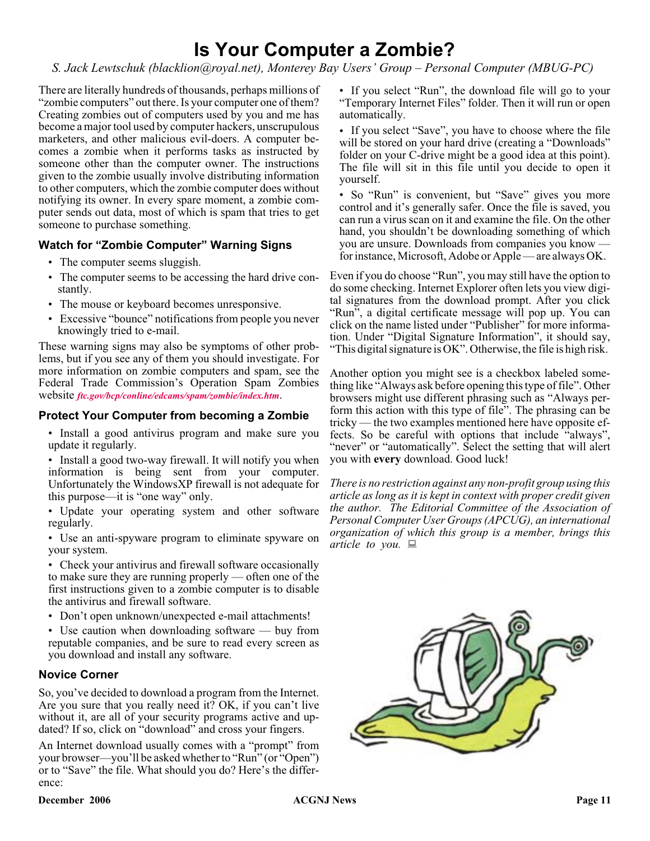### **Is Your Computer a Zombie?**

*S. Jack Lewtschuk (blacklion@royal.net), Monterey Bay Users' Group – Personal Computer (MBUG-PC)*

There are literally hundreds of thousands, perhaps millions of "zombie computers" out there. Is your computer one of them? Creating zombies out of computers used by you and me has become a major tool used by computer hackers, unscrupulous marketers, and other malicious evil-doers. A computer becomes a zombie when it performs tasks as instructed by someone other than the computer owner. The instructions given to the zombie usually involve distributing information to other computers, which the zombie computer does without notifying its owner. In every spare moment, a zombie computer sends out data, most of which is spam that tries to get someone to purchase something.

#### **Watch for "Zombie Computer" Warning Signs**

- The computer seems sluggish.
- The computer seems to be accessing the hard drive constantly.
- The mouse or keyboard becomes unresponsive.
- Excessive "bounce" notifications from people you never knowingly tried to e-mail.

These warning signs may also be symptoms of other problems, but if you see any of them you should investigate. For more information on zombie computers and spam, see the Federal Trade Commission's Operation Spam Zombies website *[ftc.gov/bcp/conline/edcams/spam/zombie/index.htm](http://www.ftc.gov/bcp/conline/edcams/spam/zombie/index.htm)*.

#### **Protect Your Computer from becoming a Zombie**

- Install a good antivirus program and make sure you update it regularly.
- Install a good two-way firewall. It will notify you when information is being sent from your computer. Unfortunately the WindowsXP firewall is not adequate for this purpose—it is "one way" only.
- Update your operating system and other software regularly.
- Use an anti-spyware program to eliminate spyware on your system.

• Check your antivirus and firewall software occasionally to make sure they are running properly — often one of the first instructions given to a zombie computer is to disable the antivirus and firewall software.

• Don't open unknown/unexpected e-mail attachments!

• Use caution when downloading software — buy from reputable companies, and be sure to read every screen as you download and install any software.

#### **Novice Corner**

So, you've decided to download a program from the Internet. Are you sure that you really need it? OK, if you can't live without it, are all of your security programs active and updated? If so, click on "download" and cross your fingers.

An Internet download usually comes with a "prompt" from your browser—you'll be asked whether to "Run" (or "Open") or to "Save" the file. What should you do? Here's the difference:

• If you select "Run", the download file will go to your "Temporary Internet Files" folder. Then it will run or open automatically.

• If you select "Save", you have to choose where the file will be stored on your hard drive (creating a "Downloads" folder on your C-drive might be a good idea at this point). The file will sit in this file until you decide to open it yourself.

• So "Run" is convenient, but "Save" gives you more control and it's generally safer. Once the file is saved, you can run a virus scan on it and examine the file. On the other hand, you shouldn't be downloading something of which you are unsure. Downloads from companies you know for instance, Microsoft, Adobe or Apple — are always OK.

Even if you do choose "Run", you may still have the option to do some checking. Internet Explorer often lets you view digital signatures from the download prompt. After you click "Run", a digital certificate message will pop up. You can click on the name listed under "Publisher" for more information. Under "Digital Signature Information", it should say, "This digital signature is OK". Otherwise, the file is high risk.

Another option you might see is a checkbox labeled something like "Always ask before opening this type of file". Other browsers might use different phrasing such as "Always perform this action with this type of file". The phrasing can be tricky — the two examples mentioned here have opposite effects. So be careful with options that include "always", "never" or "automatically". Select the setting that will alert you with **every** download. Good luck!

*There is no restriction against any non-profit group using this article as long as it is kept in context with proper credit given the author. The Editorial Committee of the Association of Personal Computer User Groups (APCUG), an international organization of which this group is a member, brings this article to you.*

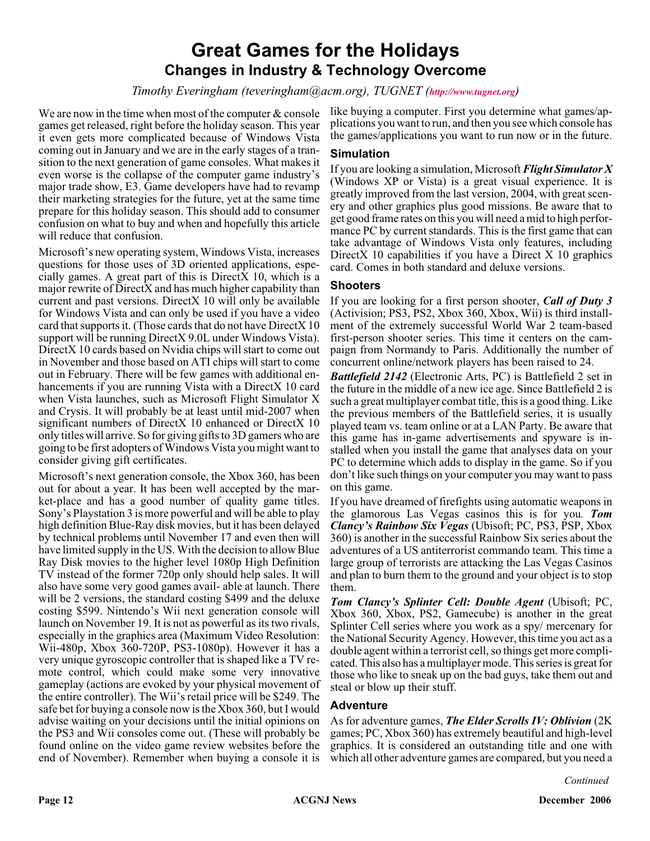### **Great Games for the Holidays Changes in Industry & Technology Overcome**

*Timothy Everingham (teveringham@acm.org), TUGNET (<http://www.tugnet.org>)*

We are now in the time when most of the computer  $\&$  console games get released, right before the holiday season. This year it even gets more complicated because of Windows Vista coming out in January and we are in the early stages of a transition to the next generation of game consoles. What makes it even worse is the collapse of the computer game industry's major trade show, E3. Game developers have had to revamp their marketing strategies for the future, yet at the same time prepare for this holiday season. This should add to consumer confusion on what to buy and when and hopefully this article will reduce that confusion.

Microsoft's new operating system, Windows Vista, increases questions for those uses of 3D oriented applications, especially games. A great part of this is DirectX 10, which is a major rewrite of DirectX and has much higher capability than current and past versions. DirectX 10 will only be available for Windows Vista and can only be used if you have a video card that supports it. (Those cards that do not have DirectX 10 support will be running DirectX 9.0L under Windows Vista). DirectX 10 cards based on Nvidia chips will start to come out in November and those based on ATI chips will start to come out in February. There will be few games with additional enhancements if you are running Vista with a DirectX 10 card when Vista launches, such as Microsoft Flight Simulator X and Crysis. It will probably be at least until mid-2007 when significant numbers of DirectX 10 enhanced or DirectX 10 only titles will arrive. So for giving gifts to 3D gamers who are going to be first adopters of Windows Vista you might want to consider giving gift certificates.

Microsoft's next generation console, the Xbox 360, has been out for about a year. It has been well accepted by the market-place and has a good number of quality game titles. Sony's Playstation 3 is more powerful and will be able to play high definition Blue-Ray disk movies, but it has been delayed by technical problems until November 17 and even then will have limited supply in the US. With the decision to allow Blue Ray Disk movies to the higher level 1080p High Definition TV instead of the former 720p only should help sales. It will also have some very good games avail- able at launch. There will be 2 versions, the standard costing \$499 and the deluxe costing \$599. Nintendo's Wii next generation console will launch on November 19. It is not as powerful as its two rivals, especially in the graphics area (Maximum Video Resolution: Wii-480p, Xbox 360-720P, PS3-1080p). However it has a very unique gyroscopic controller that is shaped like a TV remote control, which could make some very innovative gameplay (actions are evoked by your physical movement of the entire controller). The Wii's retail price will be \$249. The safe bet for buying a console now is the Xbox 360, but I would advise waiting on your decisions until the initial opinions on the PS3 and Wii consoles come out. (These will probably be found online on the video game review websites before the end of November). Remember when buying a console it is

like buying a computer. First you determine what games/applications you want to run, and then you see which console has the games/applications you want to run now or in the future.

#### **Simulation**

If you are looking a simulation, Microsoft *Flight Simulator X* (Windows XP or Vista) is a great visual experience. It is greatly improved from the last version, 2004, with great scenery and other graphics plus good missions. Be aware that to get good frame rates on this you will need a mid to high performance PC by current standards. This is the first game that can take advantage of Windows Vista only features, including DirectX 10 capabilities if you have a Direct  $X$  10 graphics card. Comes in both standard and deluxe versions.

#### **Shooters**

If you are looking for a first person shooter, *Call of Duty 3* (Activision; PS3, PS2, Xbox 360, Xbox, Wii) is third installment of the extremely successful World War 2 team-based first-person shooter series. This time it centers on the campaign from Normandy to Paris. Additionally the number of concurrent online/network players has been raised to 24.

*Battlefield 2142* (Electronic Arts, PC) is Battlefield 2 set in the future in the middle of a new ice age. Since Battlefield 2 is such a great multiplayer combat title, this is a good thing. Like the previous members of the Battlefield series, it is usually played team vs. team online or at a LAN Party. Be aware that this game has in-game advertisements and spyware is installed when you install the game that analyses data on your PC to determine which adds to display in the game. So if you don't like such things on your computer you may want to pass on this game.

If you have dreamed of firefights using automatic weapons in the glamorous Las Vegas casinos this is for you*. Tom Clancy's Rainbow Six Vegas* (Ubisoft; PC, PS3, PSP, Xbox 360) is another in the successful Rainbow Six series about the adventures of a US antiterrorist commando team. This time a large group of terrorists are attacking the Las Vegas Casinos and plan to burn them to the ground and your object is to stop them.

*Tom Clancy's Splinter Cell: Double Agent* (Ubisoft; PC, Xbox 360, Xbox, PS2, Gamecube) is another in the great Splinter Cell series where you work as a spy/ mercenary for the National Security Agency. However, this time you act as a double agent within a terrorist cell, so things get more complicated. This also has a multiplayer mode. This series is great for those who like to sneak up on the bad guys, take them out and steal or blow up their stuff.

#### **Adventure**

As for adventure games, *The Elder Scrolls IV: Oblivion* (2K games; PC, Xbox 360) has extremely beautiful and high-level graphics. It is considered an outstanding title and one with which all other adventure games are compared, but you need a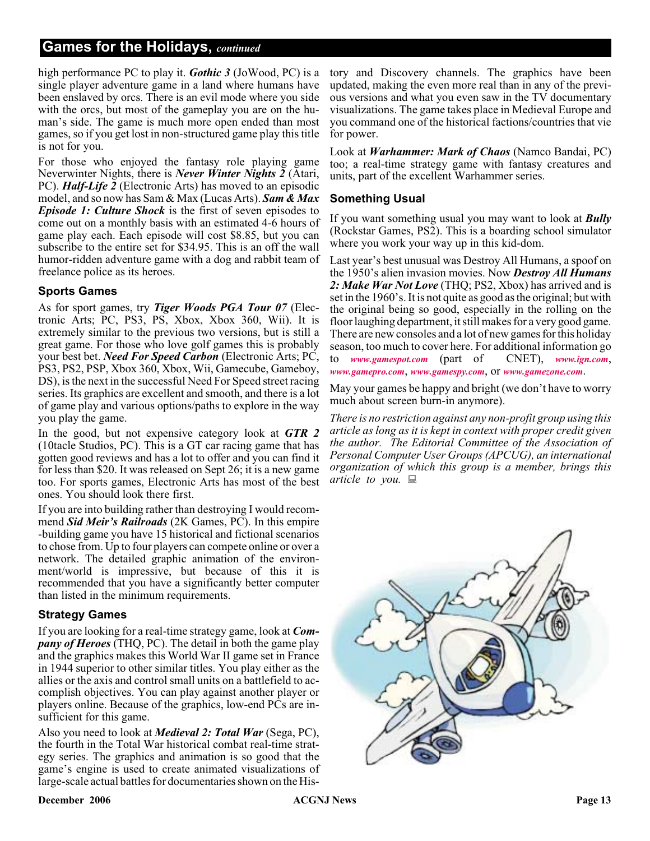#### **Games for the Holidays,** *continued*

high performance PC to play it. *Gothic 3* (JoWood, PC) is a single player adventure game in a land where humans have been enslaved by orcs. There is an evil mode where you side with the orcs, but most of the gameplay you are on the human's side. The game is much more open ended than most games, so if you get lost in non-structured game play this title is not for you.

For those who enjoyed the fantasy role playing game Neverwinter Nights, there is *Never Winter Nights 2* (Atari, PC). *Half-Life 2* (Electronic Arts) has moved to an episodic model, and so now has Sam & Max (Lucas Arts). *Sam & Max Episode 1: Culture Shock* is the first of seven episodes to come out on a monthly basis with an estimated 4-6 hours of game play each. Each episode will cost \$8.85, but you can subscribe to the entire set for \$34.95. This is an off the wall humor-ridden adventure game with a dog and rabbit team of freelance police as its heroes.

#### **Sports Games**

As for sport games, try *Tiger Woods PGA Tour 07* (Electronic Arts; PC, PS3, PS, Xbox, Xbox 360, Wii). It is extremely similar to the previous two versions, but is still a great game. For those who love golf games this is probably your best bet. *Need For Speed Carbon* (Electronic Arts; PC, PS3, PS2, PSP, Xbox 360, Xbox, Wii, Gamecube, Gameboy, DS), is the next in the successful Need For Speed street racing series. Its graphics are excellent and smooth, and there is a lot of game play and various options/paths to explore in the way you play the game.

In the good, but not expensive category look at *GTR 2* (10tacle Studios, PC). This is a GT car racing game that has gotten good reviews and has a lot to offer and you can find it for less than \$20. It was released on Sept 26; it is a new game too. For sports games, Electronic Arts has most of the best ones. You should look there first.

If you are into building rather than destroying I would recommend *Sid Meir's Railroads* (2K Games, PC). In this empire -building game you have 15 historical and fictional scenarios to chose from. Up to four players can compete online or over a network. The detailed graphic animation of the environment/world is impressive, but because of this it is recommended that you have a significantly better computer than listed in the minimum requirements.

#### **Strategy Games**

If you are looking for a real-time strategy game, look at *Company of Heroes* (THQ, PC). The detail in both the game play and the graphics makes this World War II game set in France in 1944 superior to other similar titles. You play either as the allies or the axis and control small units on a battlefield to accomplish objectives. You can play against another player or players online. Because of the graphics, low-end PCs are insufficient for this game.

Also you need to look at *Medieval 2: Total War* (Sega, PC), the fourth in the Total War historical combat real-time strategy series. The graphics and animation is so good that the game's engine is used to create animated visualizations of large-scale actual battles for documentaries shown on the His-

tory and Discovery channels. The graphics have been updated, making the even more real than in any of the previous versions and what you even saw in the TV documentary visualizations. The game takes place in Medieval Europe and you command one of the historical factions/countries that vie for power.

Look at *Warhammer: Mark of Chaos* (Namco Bandai, PC) too; a real-time strategy game with fantasy creatures and units, part of the excellent Warhammer series.

#### **Something Usual**

If you want something usual you may want to look at *Bully* (Rockstar Games, PS2). This is a boarding school simulator where you work your way up in this kid-dom.

Last year's best unusual was Destroy All Humans, a spoof on the 1950's alien invasion movies. Now *Destroy All Humans 2: Make War Not Love* (THQ; PS2, Xbox) has arrived and is set in the 1960's. It is not quite as good as the original; but with the original being so good, especially in the rolling on the floor laughing department, it still makes for a very good game. There are new consoles and a lot of new games for this holiday season, too much to cover here. For additional information go to *[www.gamespot.com](http://www.gamespot.com)* (part of CNET), *[www.ign.com](http://www.ign.com)*, *[www.gamepro.com](http://www.gamepro.com)*, *[www.gamespy.com](http://www.gamespy.com)*, or *[www.gamezone.com](http://www.gamezone.com)*.

May your games be happy and bright (we don't have to worry much about screen burn-in anymore).

*There is no restriction against any non-profit group using this article as long as it is kept in context with proper credit given the author. The Editorial Committee of the Association of Personal Computer User Groups (APCUG), an international organization of which this group is a member, brings this article to you.*

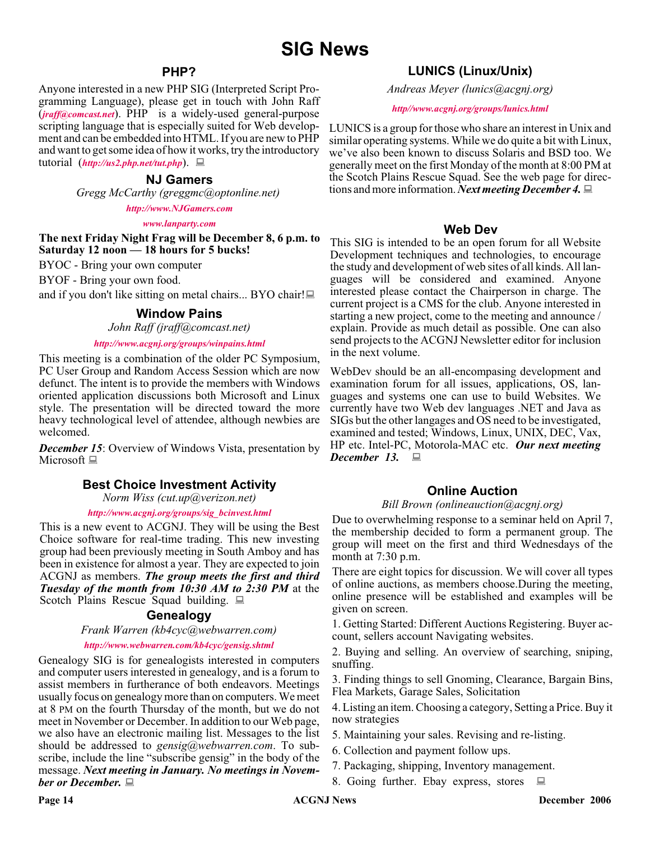#### **PHP?**

Anyone interested in a new PHP SIG (Interpreted Script Programming Language), please get in touch with John Raff (*[jraff@comcast.net](mailto:jraff@comcast.net)*). PHP is a widely-used general-purpose scripting language that is especially suited for Web development and can be embedded into HTML. If you are new to PHP and want to get some idea of how it works, try the introductory tutorial (*<http://us2.php.net/tut.php>*).

#### **NJ Gamers**

*Gregg McCarthy (greggmc@optonline.net)*

*<http://www.NJGamers.com>*

*[www.lanparty.com](http://www.lanparty.com)*

**The next Friday Night Frag will be December 8, 6 p.m. to Saturday 12 noon — 18 hours for 5 bucks!**

BYOC - Bring your own computer

BYOF - Bring your own food.

and if you don't like sitting on metal chairs... BYO chair!

#### **Window Pains**

*John Raff (jraff@comcast.net)*

*<http://www.acgnj.org/groups/winpains.html>*

This meeting is a combination of the older PC Symposium, PC User Group and Random Access Session which are now defunct. The intent is to provide the members with Windows oriented application discussions both Microsoft and Linux style. The presentation will be directed toward the more heavy technological level of attendee, although newbies are welcomed.

*December 15:* Overview of Windows Vista, presentation by Microsoft  $\Box$ 

#### **Best Choice Investment Activity**

*Norm Wiss (cut.up@verizon.net)*

#### *[http://www.acgnj.org/groups/sig\\_bcinvest.html](http://www.acgnj.org/groups/sig_bcinvest.html)*

This is a new event to ACGNJ. They will be using the Best Choice software for real-time trading. This new investing group had been previously meeting in South Amboy and has been in existence for almost a year. They are expected to join ACGNJ as members. *The group meets the first and third Tuesday of the month from 10:30 AM to 2:30 PM* at the Scotch Plains Rescue Squad building.

#### **Genealogy**

#### *Frank Warren (kb4cyc@webwarren.com)*

#### *<http://www.webwarren.com/kb4cyc/gensig.shtml>*

Genealogy SIG is for genealogists interested in computers and computer users interested in genealogy, and is a forum to assist members in furtherance of both endeavors. Meetings usually focus on genealogy more than on computers. We meet at 8 PM on the fourth Thursday of the month, but we do not meet in November or December. In addition to our Web page, we also have an electronic mailing list. Messages to the list should be addressed to *gensig@webwarren.com*. To subscribe, include the line "subscribe gensig" in the body of the message. *Next meeting in January. No meetings in November or December.*

#### **LUNICS (Linux/Unix)**

*Andreas Meyer (lunics@acgnj.org)*

#### *<http//www.acgnj.org/groups/lunics.html>*

LUNICS is a group for those who share an interest in Unix and similar operating systems. While we do quite a bit with Linux, we've also been known to discuss Solaris and BSD too. We generally meet on the first Monday of the month at 8:00 PM at the Scotch Plains Rescue Squad. See the web page for directions and more information. *Next meeting December 4.*

#### **Web Dev**

This SIG is intended to be an open forum for all Website Development techniques and technologies, to encourage the study and development of web sites of all kinds. All languages will be considered and examined. Anyone interested please contact the Chairperson in charge. The current project is a CMS for the club. Anyone interested in starting a new project, come to the meeting and announce / explain. Provide as much detail as possible. One can also send projects to the ACGNJ Newsletter editor for inclusion in the next volume.

WebDev should be an all-encompasing development and examination forum for all issues, applications, OS, languages and systems one can use to build Websites. We currently have two Web dev languages .NET and Java as SIGs but the other langages and OS need to be investigated, examined and tested; Windows, Linux, UNIX, DEC, Vax, HP etc. Intel-PC, Motorola-MAC etc. *Our next meeting December 13.*

#### **Online Auction**

#### *Bill Brown (onlineauction@acgnj.org)*

Due to overwhelming response to a seminar held on April 7, the membership decided to form a permanent group. The group will meet on the first and third Wednesdays of the month at 7:30 p.m.

There are eight topics for discussion. We will cover all types of online auctions, as members choose.During the meeting, online presence will be established and examples will be given on screen.

1. Getting Started: Different Auctions Registering. Buyer account, sellers account Navigating websites.

2. Buying and selling. An overview of searching, sniping, snuffing.

3. Finding things to sell Gnoming, Clearance, Bargain Bins, Flea Markets, Garage Sales, Solicitation

4. Listing an item. Choosing a category, Setting a Price. Buy it now strategies

- 5. Maintaining your sales. Revising and re-listing.
- 6. Collection and payment follow ups.
- 7. Packaging, shipping, Inventory management.
- 8. Going further. Ebay express, stores  $\Box$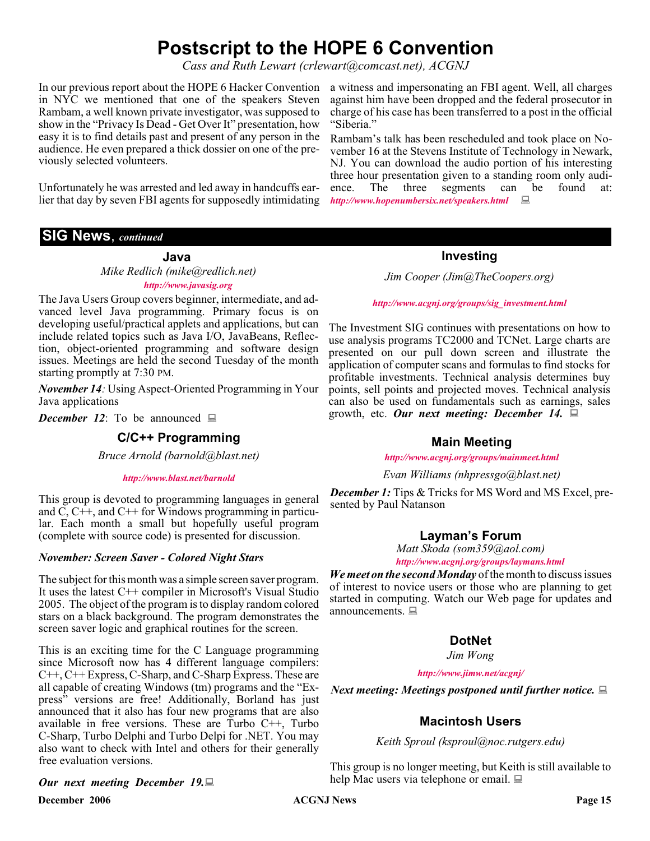### **Postscript to the HOPE 6 Convention**

*Cass and Ruth Lewart (crlewart@comcast.net), ACGNJ*

In our previous report about the HOPE 6 Hacker Convention a witness and impersonating an FBI agent. Well, all charges in NYC we mentioned that one of the speakers Steven Rambam, a well known private investigator, was supposed to show in the "Privacy Is Dead - Get Over It" presentation, how easy it is to find details past and present of any person in the audience. He even prepared a thick dossier on one of the previously selected volunteers.

Unfortunately he was arrested and led away in handcuffs earlier that day by seven FBI agents for supposedly intimidating *<http://www.hopenumbersix.net/speakers.html>*

#### **SIG News**, *continued*

**Java**

*Mike Redlich (mike@redlich.net) <http://www.javasig.org>*

The Java Users Group covers beginner, intermediate, and advanced level Java programming. Primary focus is on developing useful/practical applets and applications, but can include related topics such as Java I/O, JavaBeans, Reflection, object-oriented programming and software design issues. Meetings are held the second Tuesday of the month starting promptly at 7:30 PM.

*November 14:* Using Aspect-Oriented Programming in Your Java applications

*December 12*: To be announced  $\Box$ 

#### **C/C++ Programming**

*Bruce Arnold (barnold@blast.net)*

#### *<http://www.blast.net/barnold>*

This group is devoted to programming languages in general and C, C++, and C++ for Windows programming in particular. Each month a small but hopefully useful program (complete with source code) is presented for discussion.

#### *November: Screen Saver - Colored Night Stars*

The subject for this month was a simple screen saver program. It uses the latest C++ compiler in Microsoft's Visual Studio 2005. The object of the program is to display random colored stars on a black background. The program demonstrates the screen saver logic and graphical routines for the screen.

This is an exciting time for the C Language programming since Microsoft now has 4 different language compilers: C++, C++ Express, C-Sharp, and C-Sharp Express. These are all capable of creating Windows (tm) programs and the "Express" versions are free! Additionally, Borland has just announced that it also has four new programs that are also available in free versions. These are Turbo  $C++$ , Turbo C-Sharp, Turbo Delphi and Turbo Delpi for .NET. You may also want to check with Intel and others for their generally free evaluation versions.

#### *Our next meeting December 19.*

**December 2006 CONS Page 15 Page 15 Page 15 Page 16 Page 16 Page 16 Page 16** 

against him have been dropped and the federal prosecutor in charge of his case has been transferred to a post in the official "Siberia."

Rambam's talk has been rescheduled and took place on November 16 at the Stevens Institute of Technology in Newark, NJ. You can download the audio portion of his interesting three hour presentation given to a standing room only audience. The three segments can be found at:

#### **Investing**

*Jim Cooper (Jim@TheCoopers.org)*

*[http://www.acgnj.org/groups/sig\\_investment.html](http://www.acgnj.org/groups/sig_investment.html)*

The Investment SIG continues with presentations on how to use analysis programs TC2000 and TCNet. Large charts are presented on our pull down screen and illustrate the application of computer scans and formulas to find stocks for profitable investments. Technical analysis determines buy points, sell points and projected moves. Technical analysis can also be used on fundamentals such as earnings, sales growth, etc. *Our next meeting: December 14.*

#### **Main Meeting**

*<http://www.acgnj.org/groups/mainmeet.html>*

*Evan Williams (nhpressgo@blast.net)*

*December 1:* Tips & Tricks for MS Word and MS Excel, presented by Paul Natanson

#### **Layman's Forum**

*Matt Skoda (som359@aol.com) <http://www.acgnj.org/groups/laymans.html>*

*We meet on the second Monday* of the month to discuss issues of interest to novice users or those who are planning to get started in computing. Watch our Web page for updates and announcements.  $\Box$ 

#### **DotNet**

*Jim Wong*

*<http://www.jimw.net/acgnj/>*

*Next meeting: Meetings postponed until further notice.*

#### **Macintosh Users**

*Keith Sproul (ksproul@noc.rutgers.edu)*

This group is no longer meeting, but Keith is still available to help Mac users via telephone or email.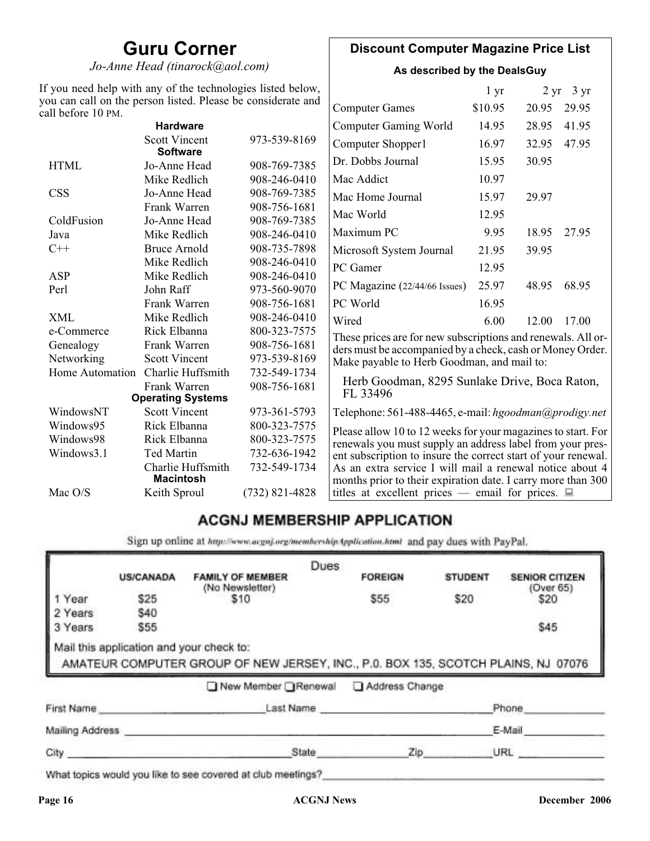### **Guru Corner**

*Jo-Anne Head (tinarock@aol.com)*

#### **Discount Computer Magazine Price List**

**As described by the DealsGuy**

| If you need help with any of the technologies listed below,<br>you can call on the person listed. Please be considerate and |                                         |                  | $1 \, yr$                                                     |         | $2 \text{ yr}$ 3 yr |       |
|-----------------------------------------------------------------------------------------------------------------------------|-----------------------------------------|------------------|---------------------------------------------------------------|---------|---------------------|-------|
| call before 10 PM.                                                                                                          |                                         |                  | <b>Computer Games</b>                                         | \$10.95 | 20.95               | 29.95 |
|                                                                                                                             | <b>Hardware</b>                         |                  | <b>Computer Gaming World</b>                                  | 14.95   | 28.95               | 41.95 |
|                                                                                                                             | <b>Scott Vincent</b><br><b>Software</b> | 973-539-8169     | Computer Shopper1                                             | 16.97   | 32.95               | 47.95 |
| <b>HTML</b>                                                                                                                 | Jo-Anne Head                            | 908-769-7385     | Dr. Dobbs Journal                                             | 15.95   | 30.95               |       |
|                                                                                                                             | Mike Redlich                            | 908-246-0410     | Mac Addict                                                    | 10.97   |                     |       |
| <b>CSS</b>                                                                                                                  | Jo-Anne Head                            | 908-769-7385     | Mac Home Journal                                              | 15.97   | 29.97               |       |
|                                                                                                                             | Frank Warren                            | 908-756-1681     | Mac World                                                     | 12.95   |                     |       |
| ColdFusion                                                                                                                  | Jo-Anne Head                            | 908-769-7385     |                                                               |         |                     |       |
| Java                                                                                                                        | Mike Redlich                            | 908-246-0410     | Maximum PC                                                    | 9.95    | 18.95               | 27.95 |
| $C++$                                                                                                                       | <b>Bruce Arnold</b>                     | 908-735-7898     | Microsoft System Journal                                      | 21.95   | 39.95               |       |
|                                                                                                                             | Mike Redlich                            | 908-246-0410     | PC Gamer                                                      | 12.95   |                     |       |
| ASP                                                                                                                         | Mike Redlich                            | 908-246-0410     |                                                               |         |                     |       |
| Perl                                                                                                                        | John Raff                               | 973-560-9070     | PC Magazine (22/44/66 Issues)                                 | 25.97   | 48.95               | 68.95 |
|                                                                                                                             | Frank Warren                            | 908-756-1681     | PC World                                                      | 16.95   |                     |       |
| <b>XML</b>                                                                                                                  | Mike Redlich                            | 908-246-0410     | Wired                                                         | 6.00    | 12.00               | 17.00 |
| e-Commerce                                                                                                                  | Rick Elbanna                            | 800-323-7575     | These prices are for new subscriptions and renewals. All or-  |         |                     |       |
| Genealogy                                                                                                                   | Frank Warren                            | 908-756-1681     | ders must be accompanied by a check, cash or Money Order.     |         |                     |       |
| Networking                                                                                                                  | <b>Scott Vincent</b>                    | 973-539-8169     | Make payable to Herb Goodman, and mail to:                    |         |                     |       |
| Home Automation                                                                                                             | Charlie Huffsmith                       | 732-549-1734     |                                                               |         |                     |       |
|                                                                                                                             | Frank Warren                            | 908-756-1681     | Herb Goodman, 8295 Sunlake Drive, Boca Raton,<br>FL 33496     |         |                     |       |
|                                                                                                                             | <b>Operating Systems</b>                |                  |                                                               |         |                     |       |
| WindowsNT                                                                                                                   | <b>Scott Vincent</b>                    | 973-361-5793     | Telephone: 561-488-4465, e-mail: hgoodman@prodigy.net         |         |                     |       |
| Windows95                                                                                                                   | Rick Elbanna                            | 800-323-7575     | Please allow 10 to 12 weeks for your magazines to start. For  |         |                     |       |
| Windows98                                                                                                                   | Rick Elbanna                            | 800-323-7575     | renewals you must supply an address label from your pres-     |         |                     |       |
| Windows3.1                                                                                                                  | <b>Ted Martin</b>                       | 732-636-1942     | ent subscription to insure the correct start of your renewal. |         |                     |       |
|                                                                                                                             | Charlie Huffsmith                       | 732-549-1734     | As an extra service I will mail a renewal notice about 4      |         |                     |       |
|                                                                                                                             | <b>Macintosh</b>                        |                  | months prior to their expiration date. I carry more than 300  |         |                     |       |
| Mac O/S                                                                                                                     | Keith Sproul                            | $(732)$ 821-4828 | titles at excellent prices — email for prices. $\Box$         |         |                     |       |

### **ACGNJ MEMBERSHIP APPLICATION**

Sign up online at http://www.acguj.org/membershipApplication.html and pay dues with PayPal.

|                 |                                          |                                                                                   | Dues      |                |                |                                    |
|-----------------|------------------------------------------|-----------------------------------------------------------------------------------|-----------|----------------|----------------|------------------------------------|
|                 | <b>US/CANADA</b>                         | <b>FAMILY OF MEMBER</b><br>(No Newsletter)                                        |           | <b>FOREIGN</b> | <b>STUDENT</b> | <b>SENIOR CITIZEN</b><br>(Over 65) |
| I Year          | \$25                                     | \$10                                                                              |           | \$55           | \$20           | \$20                               |
| 2 Years         | \$40                                     |                                                                                   |           |                |                |                                    |
| 3 Years         | \$55                                     |                                                                                   |           |                |                | \$45                               |
|                 | Mail this application and your check to: | AMATEUR COMPUTER GROUP OF NEW JERSEY, INC., P.0. BOX 135, SCOTCH PLAINS, NJ 07076 |           |                |                |                                    |
|                 |                                          | New Member Renewal                                                                |           | Address Change |                |                                    |
| First Name      |                                          |                                                                                   | Last Name |                |                | Phone                              |
| Mailing Address |                                          |                                                                                   |           |                |                | E-Mail                             |

What topics would you like to see covered at club meetings?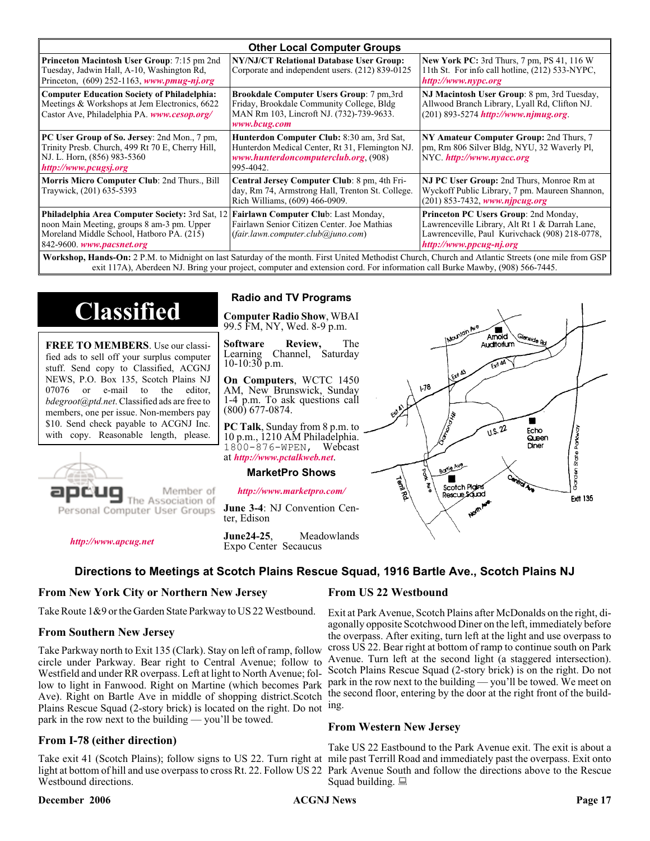| <b>Other Local Computer Groups</b>                                                                                                                                             |                                                                                                                                                    |                                                                                                                                                                      |  |  |  |
|--------------------------------------------------------------------------------------------------------------------------------------------------------------------------------|----------------------------------------------------------------------------------------------------------------------------------------------------|----------------------------------------------------------------------------------------------------------------------------------------------------------------------|--|--|--|
| <b>Princeton Macintosh User Group:</b> 7:15 pm 2nd<br>Tuesday, Jadwin Hall, A-10, Washington Rd,<br>Princeton, $(609)$ 252-1163, www.pmug-nj.org                               | NY/NJ/CT Relational Database User Group:<br>Corporate and independent users. (212) 839-0125                                                        | <b>New York PC:</b> 3rd Thurs, 7 pm, PS 41, 116 W<br>11th St. For info call hotline, (212) 533-NYPC,<br>http://www.nypc.org                                          |  |  |  |
| <b>Computer Education Society of Philadelphia:</b><br>Meetings & Workshops at Jem Electronics, 6622<br>Castor Ave, Philadelphia PA. www.cesop.org/                             | Brookdale Computer Users Group: 7 pm,3rd<br>Friday, Brookdale Community College, Bldg<br>MAN Rm 103, Lincroft NJ. (732)-739-9633.<br>www.bcug.com  | NJ Macintosh User Group: 8 pm, 3rd Tuesday,<br>Allwood Branch Library, Lyall Rd, Clifton NJ.<br>$(201)$ 893-5274 http://www.njmug.org.                               |  |  |  |
| PC User Group of So. Jersey: 2nd Mon., 7 pm,<br>Trinity Presb. Church, 499 Rt 70 E, Cherry Hill,<br>NJ. L. Horn, (856) 983-5360<br>http://www.pcugsj.org                       | Hunterdon Computer Club: 8:30 am, 3rd Sat,<br>Hunterdon Medical Center, Rt 31, Flemington NJ.<br>www.hunterdoncomputerclub.org. (908)<br>995-4042. | NY Amateur Computer Group: 2nd Thurs, 7<br>pm, Rm 806 Silver Bldg, NYU, 32 Waverly Pl,<br>NYC http://www.nyacc.org                                                   |  |  |  |
| Morris Micro Computer Club: 2nd Thurs., Bill<br>Traywick, (201) 635-5393                                                                                                       | Central Jersey Computer Club: 8 pm, 4th Fri-<br>day, Rm 74, Armstrong Hall, Trenton St. College.<br>Rich Williams, (609) 466-0909.                 | NJ PC User Group: 2nd Thurs, Monroe Rm at<br>Wyckoff Public Library, 7 pm. Maureen Shannon,<br>(201) 853-7432, www.njpcug.org                                        |  |  |  |
| <b>Philadelphia Area Computer Society: 3rd Sat, 12</b><br>noon Main Meeting, groups 8 am-3 pm. Upper<br>Moreland Middle School, Hatboro PA. (215)<br>842-9600. www.pacsnet.org | Fairlawn Computer Club: Last Monday,<br>Fairlawn Senior Citizen Center. Joe Mathias<br>(fair.lawn.computer. club@juno.com)                         | Princeton PC Users Group: 2nd Monday,<br>Lawrenceville Library, Alt Rt 1 & Darrah Lane,<br>Lawrenceville, Paul Kurivchack (908) 218-0778,<br>http://www.ppcug-nj.org |  |  |  |
| Workshop Hands-On: 2 PM to Midnight on last Saturday of the month First United Methodist Church Church and Atlantic Streets (one mile from GSP)                                |                                                                                                                                                    |                                                                                                                                                                      |  |  |  |

ht on last Saturday of the month. First United Methodist Church, Church and Atlantic Streets (on exit 117A), Aberdeen NJ. Bring your project, computer and extension cord. For information call Burke Mawby, (908) 566-7445.

## **Classified**

**FREE TO MEMBERS**. Use our classified ads to sell off your surplus computer stuff. Send copy to Classified, ACGNJ NEWS, P.O. Box 135, Scotch Plains NJ 07076 or e-mail to the editor, *bdegroot@ptd.net*. Classified ads are free to members, one per issue. Non-members pay \$10. Send check payable to ACGNJ Inc. with copy. Reasonable length, please.



Member of The Association of

Personal Computer User Groups

*<http://www.apcug.net>*

#### **Radio and TV Programs**

**Computer Radio Show**, WBAI 99.5 FM, NY, Wed. 8-9 p.m.

**Software Review,** The Channel, Saturday  $10-10:30$  p.m.

**On Computers**, WCTC 1450 AM, New Brunswick, Sunday 1-4 p.m. To ask questions call (800) 677-0874.

**PC Talk**, Sunday from 8 p.m. to 10 p.m., 1210 AM Philadelphia. 1800-876-WPEN, Webcast at *<http://www.pctalkweb.net>*.

#### **MarketPro Shows**

*<http://www.marketpro.com/>*

**June 3-4**: NJ Convention Center, Edison

**June24-25**, Meadowlands Expo Center Secaucus

#### **Directions to Meetings at Scotch Plains Rescue Squad, 1916 Bartle Ave., Scotch Plains NJ**

#### **From New York City or Northern New Jersey**

Take Route 1&9 or the Garden State Parkway to US 22 Westbound.

#### **From Southern New Jersey**

Take Parkway north to Exit 135 (Clark). Stay on left of ramp, follow circle under Parkway. Bear right to Central Avenue; follow to Westfield and under RR overpass. Left at light to North Avenue; follow to light in Fanwood. Right on Martine (which becomes Park Ave). Right on Bartle Ave in middle of shopping district.Scotch Plains Rescue Squad (2-story brick) is located on the right. Do not ing. park in the row next to the building — you'll be towed.

#### **From I-78 (either direction)**

Take exit 41 (Scotch Plains); follow signs to US 22. Turn right at mile past Terrill Road and immediately past the overpass. Exit onto light at bottom of hill and use overpass to cross Rt. 22. Follow US 22 Park Avenue South and follow the directions above to the Rescue Westbound directions.

#### **December 2006 CONS Page 17 Page 17 Page 17 Page 17 Page 17 Page 17**

#### **From US 22 Westbound**

Territors

 $178$ 

Borle Ave

Scotch Pigins

Rescue Sound

Exit at Park Avenue, Scotch Plains after McDonalds on the right, diagonally opposite Scotchwood Diner on the left, immediately before the overpass. After exiting, turn left at the light and use overpass to cross US 22. Bear right at bottom of ramp to continue south on Park Avenue. Turn left at the second light (a staggered intersection). Scotch Plains Rescue Squad (2-story brick) is on the right. Do not park in the row next to the building — you'll be towed. We meet on the second floor, entering by the door at the right front of the build-

Amold Auditorium

 $\sqrt{1.5.22}$ 

ш

Echo Queen

Diner

Garden State Park

**Ext1 135** 

#### **From Western New Jersey**

Take US 22 Eastbound to the Park Avenue exit. The exit is about a Squad building.  $\Box$